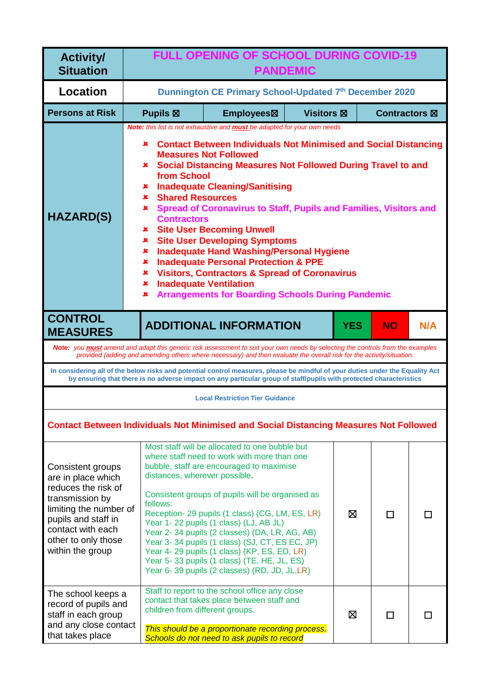| <b>Activity/</b><br><b>Situation</b>                                                                                                                                                               | <b>FULL OPENING OF SCHOOL DURING COVID-19</b><br><b>PANDEMIC</b>                                                                                                                                                                                                                                                                                                                                                                                                                                                                                                                                                                                                                                                                                                                                                                                                          |                                                                                                                                                                                                                                                                                                                                                                                                                                                                                                                                             |                   |            |               |     |
|----------------------------------------------------------------------------------------------------------------------------------------------------------------------------------------------------|---------------------------------------------------------------------------------------------------------------------------------------------------------------------------------------------------------------------------------------------------------------------------------------------------------------------------------------------------------------------------------------------------------------------------------------------------------------------------------------------------------------------------------------------------------------------------------------------------------------------------------------------------------------------------------------------------------------------------------------------------------------------------------------------------------------------------------------------------------------------------|---------------------------------------------------------------------------------------------------------------------------------------------------------------------------------------------------------------------------------------------------------------------------------------------------------------------------------------------------------------------------------------------------------------------------------------------------------------------------------------------------------------------------------------------|-------------------|------------|---------------|-----|
| <b>Location</b>                                                                                                                                                                                    |                                                                                                                                                                                                                                                                                                                                                                                                                                                                                                                                                                                                                                                                                                                                                                                                                                                                           | Dunnington CE Primary School-Updated 7th December 2020                                                                                                                                                                                                                                                                                                                                                                                                                                                                                      |                   |            |               |     |
| <b>Persons at Risk</b>                                                                                                                                                                             | <b>Pupils</b> ⊠                                                                                                                                                                                                                                                                                                                                                                                                                                                                                                                                                                                                                                                                                                                                                                                                                                                           | Employees <sub><math>\boxtimes</math></sub>                                                                                                                                                                                                                                                                                                                                                                                                                                                                                                 | <b>Visitors ⊠</b> |            | Contractors ⊠ |     |
| <b>HAZARD(S)</b>                                                                                                                                                                                   | <b>Note:</b> this list is not exhaustive and <b>must</b> be adapted for your own needs<br><b>Contact Between Individuals Not Minimised and Social Distancing</b><br>×<br><b>Measures Not Followed</b><br><b>* Social Distancing Measures Not Followed During Travel to and</b><br>from School<br><b>Inadequate Cleaning/Sanitising</b><br>x<br><b>Shared Resources</b><br>$\mathbf x$ .<br>Spread of Coronavirus to Staff, Pupils and Families, Visitors and<br>×<br><b>Contractors</b><br><b>Site User Becoming Unwell</b><br>×.<br><b>Site User Developing Symptoms</b><br>×.<br><b>Inadequate Hand Washing/Personal Hygiene</b><br>×<br><b>Inadequate Personal Protection &amp; PPE</b><br>×<br><b>Visitors, Contractors &amp; Spread of Coronavirus</b><br>x.<br><b>Inadequate Ventilation</b><br>x.<br><b>Arrangements for Boarding Schools During Pandemic</b><br>× |                                                                                                                                                                                                                                                                                                                                                                                                                                                                                                                                             |                   |            |               |     |
| <b>CONTROL</b><br><b>MEASURES</b>                                                                                                                                                                  |                                                                                                                                                                                                                                                                                                                                                                                                                                                                                                                                                                                                                                                                                                                                                                                                                                                                           | <b>ADDITIONAL INFORMATION</b>                                                                                                                                                                                                                                                                                                                                                                                                                                                                                                               |                   | <b>YES</b> | <b>NO</b>     | N/A |
|                                                                                                                                                                                                    |                                                                                                                                                                                                                                                                                                                                                                                                                                                                                                                                                                                                                                                                                                                                                                                                                                                                           | Note: you must amend and adapt this generic risk assessment to suit your own needs by selecting the controls from the examples<br>provided (adding and amending others where necessary) and then evaluate the overall risk for the activity/situation.                                                                                                                                                                                                                                                                                      |                   |            |               |     |
|                                                                                                                                                                                                    |                                                                                                                                                                                                                                                                                                                                                                                                                                                                                                                                                                                                                                                                                                                                                                                                                                                                           | In considering all of the below risks and potential control measures, please be mindful of your duties under the Equality Act<br>by ensuring that there is no adverse impact on any particular group of staff/pupils with protected characteristics                                                                                                                                                                                                                                                                                         |                   |            |               |     |
|                                                                                                                                                                                                    |                                                                                                                                                                                                                                                                                                                                                                                                                                                                                                                                                                                                                                                                                                                                                                                                                                                                           | <b>Local Restriction Tier Guidance</b>                                                                                                                                                                                                                                                                                                                                                                                                                                                                                                      |                   |            |               |     |
|                                                                                                                                                                                                    |                                                                                                                                                                                                                                                                                                                                                                                                                                                                                                                                                                                                                                                                                                                                                                                                                                                                           | <b>Contact Between Individuals Not Minimised and Social Distancing Measures Not Followed</b>                                                                                                                                                                                                                                                                                                                                                                                                                                                |                   |            |               |     |
| Consistent groups<br>are in place which<br>reduces the risk of<br>transmission by<br>limiting the number of<br>pupils and staff in<br>contact with each<br>other to only those<br>within the group | distances, wherever possible.<br>follows:                                                                                                                                                                                                                                                                                                                                                                                                                                                                                                                                                                                                                                                                                                                                                                                                                                 | Most staff will be allocated to one bubble but<br>where staff need to work with more than one<br>bubble, staff are encouraged to maximise<br>Consistent groups of pupils will be organised as<br>Reception- 29 pupils (1 class) (CG, LM, ES, LR)<br>Year 1-22 pupils (1 class) (LJ, AB JL)<br>Year 2-34 pupils (2 classes) (DA, LR, AG, AB)<br>Year 3-34 pupils (1 class) (SJ, CT, ES EC, JP)<br>Year 4-29 pupils (1 class) (KP, ES, ED, LR)<br>Year 5-33 pupils (1 class) (TE, HE, JL, ES)<br>Year 6-39 pupils (2 classes) (RD, JD, JL,LR) |                   | ⊠          | П             | П   |
| The school keeps a<br>record of pupils and<br>staff in each group<br>and any close contact<br>that takes place                                                                                     | children from different groups.                                                                                                                                                                                                                                                                                                                                                                                                                                                                                                                                                                                                                                                                                                                                                                                                                                           | Staff to report to the school office any close<br>contact that takes place between staff and<br>This should be a proportionate recording process.<br>Schools do not need to ask pupils to record                                                                                                                                                                                                                                                                                                                                            |                   | ⊠          | П             | П   |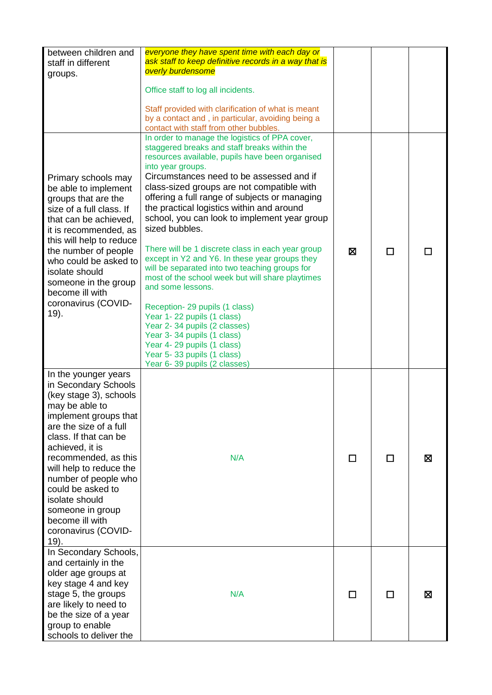| between children and<br>staff in different<br>groups.                                                                                                                                                                                                                                                                                                                           | everyone they have spent time with each day or<br>ask staff to keep definitive records in a way that is<br>overly burdensome<br>Office staff to log all incidents.<br>Staff provided with clarification of what is meant<br>by a contact and, in particular, avoiding being a                                                                                                                                                                                                                                                                                                                                                                                                                                                                                                                                                                                                                                                         |   |   |   |
|---------------------------------------------------------------------------------------------------------------------------------------------------------------------------------------------------------------------------------------------------------------------------------------------------------------------------------------------------------------------------------|---------------------------------------------------------------------------------------------------------------------------------------------------------------------------------------------------------------------------------------------------------------------------------------------------------------------------------------------------------------------------------------------------------------------------------------------------------------------------------------------------------------------------------------------------------------------------------------------------------------------------------------------------------------------------------------------------------------------------------------------------------------------------------------------------------------------------------------------------------------------------------------------------------------------------------------|---|---|---|
| Primary schools may<br>be able to implement<br>groups that are the<br>size of a full class. If<br>that can be achieved,<br>it is recommended, as<br>this will help to reduce<br>the number of people<br>who could be asked to<br>isolate should<br>someone in the group<br>become ill with<br>coronavirus (COVID-<br>19).                                                       | contact with staff from other bubbles.<br>In order to manage the logistics of PPA cover,<br>staggered breaks and staff breaks within the<br>resources available, pupils have been organised<br>into year groups.<br>Circumstances need to be assessed and if<br>class-sized groups are not compatible with<br>offering a full range of subjects or managing<br>the practical logistics within and around<br>school, you can look to implement year group<br>sized bubbles.<br>There will be 1 discrete class in each year group<br>except in Y2 and Y6. In these year groups they<br>will be separated into two teaching groups for<br>most of the school week but will share playtimes<br>and some lessons.<br>Reception-29 pupils (1 class)<br>Year 1-22 pupils (1 class)<br>Year 2-34 pupils (2 classes)<br>Year 3-34 pupils (1 class)<br>Year 4-29 pupils (1 class)<br>Year 5-33 pupils (1 class)<br>Year 6-39 pupils (2 classes) | X | П |   |
| In the younger years<br>in Secondary Schools<br>(key stage 3), schools<br>may be able to<br>implement groups that<br>are the size of a full<br>class. If that can be<br>achieved, it is<br>recommended, as this<br>will help to reduce the<br>number of people who<br>could be asked to<br>isolate should<br>someone in group<br>become ill with<br>coronavirus (COVID-<br>19). | N/A                                                                                                                                                                                                                                                                                                                                                                                                                                                                                                                                                                                                                                                                                                                                                                                                                                                                                                                                   | П | П | 図 |
| In Secondary Schools,<br>and certainly in the<br>older age groups at<br>key stage 4 and key<br>stage 5, the groups<br>are likely to need to<br>be the size of a year<br>group to enable<br>schools to deliver the                                                                                                                                                               | N/A                                                                                                                                                                                                                                                                                                                                                                                                                                                                                                                                                                                                                                                                                                                                                                                                                                                                                                                                   | П | П | ⊠ |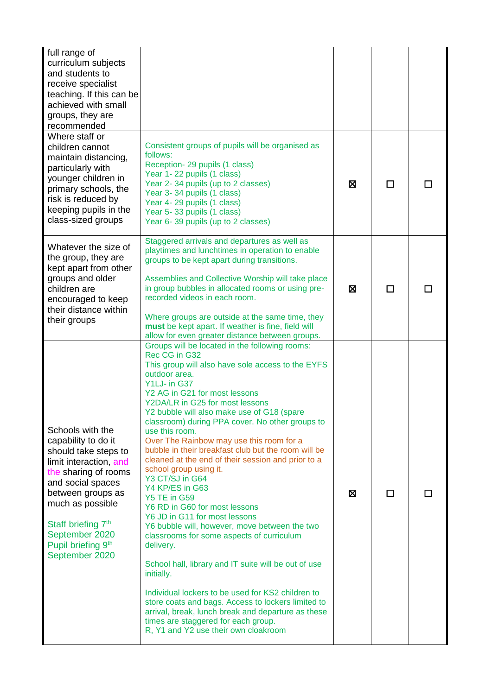| full range of<br>curriculum subjects<br>and students to<br>receive specialist<br>teaching. If this can be<br>achieved with small<br>groups, they are<br>recommended                                                                                                         |                                                                                                                                                                                                                                                                                                                                                                                                                                                                                                                                                                                                                                                                                                                                                                                                                                                                                                                                                                                                                                                                                                 |   |   |  |
|-----------------------------------------------------------------------------------------------------------------------------------------------------------------------------------------------------------------------------------------------------------------------------|-------------------------------------------------------------------------------------------------------------------------------------------------------------------------------------------------------------------------------------------------------------------------------------------------------------------------------------------------------------------------------------------------------------------------------------------------------------------------------------------------------------------------------------------------------------------------------------------------------------------------------------------------------------------------------------------------------------------------------------------------------------------------------------------------------------------------------------------------------------------------------------------------------------------------------------------------------------------------------------------------------------------------------------------------------------------------------------------------|---|---|--|
| Where staff or<br>children cannot<br>maintain distancing,<br>particularly with<br>younger children in<br>primary schools, the<br>risk is reduced by<br>keeping pupils in the<br>class-sized groups                                                                          | Consistent groups of pupils will be organised as<br>follows:<br>Reception-29 pupils (1 class)<br>Year 1-22 pupils (1 class)<br>Year 2-34 pupils (up to 2 classes)<br>Year 3-34 pupils (1 class)<br>Year 4-29 pupils (1 class)<br>Year 5-33 pupils (1 class)<br>Year 6-39 pupils (up to 2 classes)                                                                                                                                                                                                                                                                                                                                                                                                                                                                                                                                                                                                                                                                                                                                                                                               | X | П |  |
| Whatever the size of<br>the group, they are<br>kept apart from other<br>groups and older<br>children are<br>encouraged to keep<br>their distance within<br>their groups                                                                                                     | Staggered arrivals and departures as well as<br>playtimes and lunchtimes in operation to enable<br>groups to be kept apart during transitions.<br>Assemblies and Collective Worship will take place<br>in group bubbles in allocated rooms or using pre-<br>recorded videos in each room.<br>Where groups are outside at the same time, they<br>must be kept apart. If weather is fine, field will<br>allow for even greater distance between groups.                                                                                                                                                                                                                                                                                                                                                                                                                                                                                                                                                                                                                                           | X | П |  |
| Schools with the<br>capability to do it<br>should take steps to<br>limit interaction, and<br>the sharing of rooms<br>and social spaces<br>between groups as<br>much as possible<br>Staff briefing 7 <sup>th</sup><br>September 2020<br>Pupil briefing 9th<br>September 2020 | Groups will be located in the following rooms:<br>Rec CG in G32<br>This group will also have sole access to the EYFS<br>outdoor area.<br>Y1LJ- in G37<br>Y2 AG in G21 for most lessons<br>Y2DA/LR in G25 for most lessons<br>Y2 bubble will also make use of G18 (spare<br>classroom) during PPA cover. No other groups to<br>use this room.<br>Over The Rainbow may use this room for a<br>bubble in their breakfast club but the room will be<br>cleaned at the end of their session and prior to a<br>school group using it.<br>Y3 CT/SJ in G64<br>Y4 KP/ES in G63<br><b>Y5 TE in G59</b><br>Y6 RD in G60 for most lessons<br>Y6 JD in G11 for most lessons<br>Y6 bubble will, however, move between the two<br>classrooms for some aspects of curriculum<br>delivery.<br>School hall, library and IT suite will be out of use<br>initially.<br>Individual lockers to be used for KS2 children to<br>store coats and bags. Access to lockers limited to<br>arrival, break, lunch break and departure as these<br>times are staggered for each group.<br>R, Y1 and Y2 use their own cloakroom | ⊠ | П |  |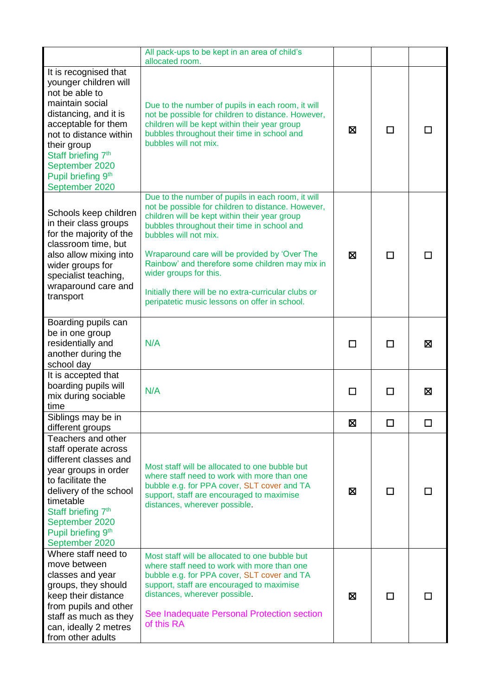|                                                                                                                                                                                                                                                                          | All pack-ups to be kept in an area of child's<br>allocated room.                                                                                                                                                                                                                                                                                                                                                                                                        |   |   |     |
|--------------------------------------------------------------------------------------------------------------------------------------------------------------------------------------------------------------------------------------------------------------------------|-------------------------------------------------------------------------------------------------------------------------------------------------------------------------------------------------------------------------------------------------------------------------------------------------------------------------------------------------------------------------------------------------------------------------------------------------------------------------|---|---|-----|
| It is recognised that<br>younger children will<br>not be able to<br>maintain social<br>distancing, and it is<br>acceptable for them<br>not to distance within<br>their group<br>Staff briefing 7 <sup>th</sup><br>September 2020<br>Pupil briefing 9th<br>September 2020 | Due to the number of pupils in each room, it will<br>not be possible for children to distance. However,<br>children will be kept within their year group<br>bubbles throughout their time in school and<br>bubbles will not mix.                                                                                                                                                                                                                                        | X | П |     |
| Schools keep children<br>in their class groups<br>for the majority of the<br>classroom time, but<br>also allow mixing into<br>wider groups for<br>specialist teaching,<br>wraparound care and<br>transport                                                               | Due to the number of pupils in each room, it will<br>not be possible for children to distance. However,<br>children will be kept within their year group<br>bubbles throughout their time in school and<br>bubbles will not mix.<br>Wraparound care will be provided by 'Over The<br>Rainbow' and therefore some children may mix in<br>wider groups for this.<br>Initially there will be no extra-curricular clubs or<br>peripatetic music lessons on offer in school. | X | П |     |
| Boarding pupils can<br>be in one group<br>residentially and<br>another during the<br>school day                                                                                                                                                                          | N/A                                                                                                                                                                                                                                                                                                                                                                                                                                                                     | П | П | ⊠   |
| It is accepted that<br>boarding pupils will<br>mix during sociable<br>time                                                                                                                                                                                               | N/A                                                                                                                                                                                                                                                                                                                                                                                                                                                                     | П |   | ⊠   |
| Siblings may be in<br>different groups                                                                                                                                                                                                                                   |                                                                                                                                                                                                                                                                                                                                                                                                                                                                         | X | П |     |
| Teachers and other<br>staff operate across<br>different classes and<br>year groups in order<br>to facilitate the<br>delivery of the school<br>timetable<br>Staff briefing 7 <sup>th</sup><br>September 2020<br>Pupil briefing 9 <sup>th</sup><br>September 2020          | Most staff will be allocated to one bubble but<br>where staff need to work with more than one<br>bubble e.g. for PPA cover, SLT cover and TA<br>support, staff are encouraged to maximise<br>distances, wherever possible.                                                                                                                                                                                                                                              | Ø | □ | l I |
| Where staff need to<br>move between<br>classes and year<br>groups, they should<br>keep their distance<br>from pupils and other<br>staff as much as they<br>can, ideally 2 metres<br>from other adults                                                                    | Most staff will be allocated to one bubble but<br>where staff need to work with more than one<br>bubble e.g. for PPA cover, SLT cover and TA<br>support, staff are encouraged to maximise<br>distances, wherever possible.<br>See Inadequate Personal Protection section<br>of this RA                                                                                                                                                                                  | ⊠ | п |     |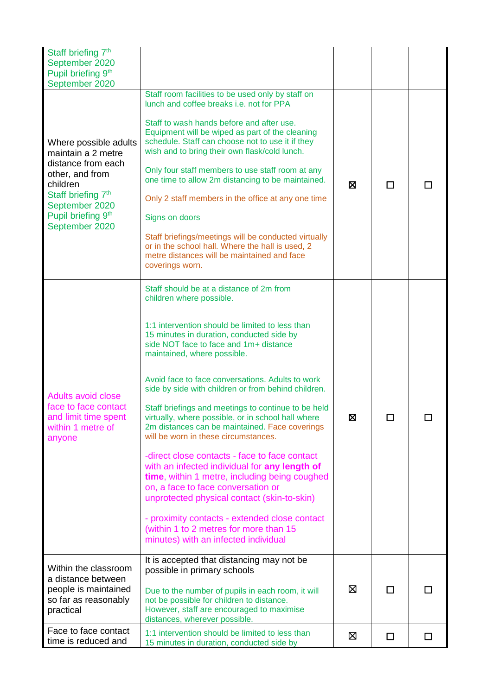| Staff briefing 7th<br>September 2020<br>Pupil briefing 9th<br>September 2020                                                                                                                             |                                                                                                                                                                                                                                                                                                                                                                                                                                                                                                                                                                                                                                                                                                                                                                                                                                                                                                                                            |   |    |     |
|----------------------------------------------------------------------------------------------------------------------------------------------------------------------------------------------------------|--------------------------------------------------------------------------------------------------------------------------------------------------------------------------------------------------------------------------------------------------------------------------------------------------------------------------------------------------------------------------------------------------------------------------------------------------------------------------------------------------------------------------------------------------------------------------------------------------------------------------------------------------------------------------------------------------------------------------------------------------------------------------------------------------------------------------------------------------------------------------------------------------------------------------------------------|---|----|-----|
| Where possible adults<br>maintain a 2 metre<br>distance from each<br>other, and from<br>children<br>Staff briefing 7 <sup>th</sup><br>September 2020<br>Pupil briefing 9 <sup>th</sup><br>September 2020 | Staff room facilities to be used only by staff on<br>lunch and coffee breaks i.e. not for PPA<br>Staff to wash hands before and after use.<br>Equipment will be wiped as part of the cleaning<br>schedule. Staff can choose not to use it if they<br>wish and to bring their own flask/cold lunch.<br>Only four staff members to use staff room at any<br>one time to allow 2m distancing to be maintained.<br>Only 2 staff members in the office at any one time<br>Signs on doors<br>Staff briefings/meetings will be conducted virtually<br>or in the school hall. Where the hall is used, 2<br>metre distances will be maintained and face<br>coverings worn.                                                                                                                                                                                                                                                                          | ⊠ | П  |     |
| <b>Adults avoid close</b><br>face to face contact<br>and limit time spent<br>within 1 metre of<br>anyone                                                                                                 | Staff should be at a distance of 2m from<br>children where possible.<br>1:1 intervention should be limited to less than<br>15 minutes in duration, conducted side by<br>side NOT face to face and 1m+ distance<br>maintained, where possible.<br>Avoid face to face conversations. Adults to work<br>side by side with children or from behind children.<br>Staff briefings and meetings to continue to be held<br>virtually, where possible, or in school hall where<br>2m distances can be maintained. Face coverings<br>will be worn in these circumstances.<br>-direct close contacts - face to face contact<br>with an infected individual for any length of<br>time, within 1 metre, including being coughed<br>on, a face to face conversation or<br>unprotected physical contact (skin-to-skin)<br>- proximity contacts - extended close contact<br>(within 1 to 2 metres for more than 15<br>minutes) with an infected individual | × | LI |     |
| Within the classroom<br>a distance between<br>people is maintained<br>so far as reasonably<br>practical                                                                                                  | It is accepted that distancing may not be<br>possible in primary schools<br>Due to the number of pupils in each room, it will<br>not be possible for children to distance.<br>However, staff are encouraged to maximise<br>distances, wherever possible.                                                                                                                                                                                                                                                                                                                                                                                                                                                                                                                                                                                                                                                                                   | ⊠ | □  |     |
| Face to face contact<br>time is reduced and                                                                                                                                                              | 1:1 intervention should be limited to less than<br>15 minutes in duration, conducted side by                                                                                                                                                                                                                                                                                                                                                                                                                                                                                                                                                                                                                                                                                                                                                                                                                                               | ⊠ | □  | l l |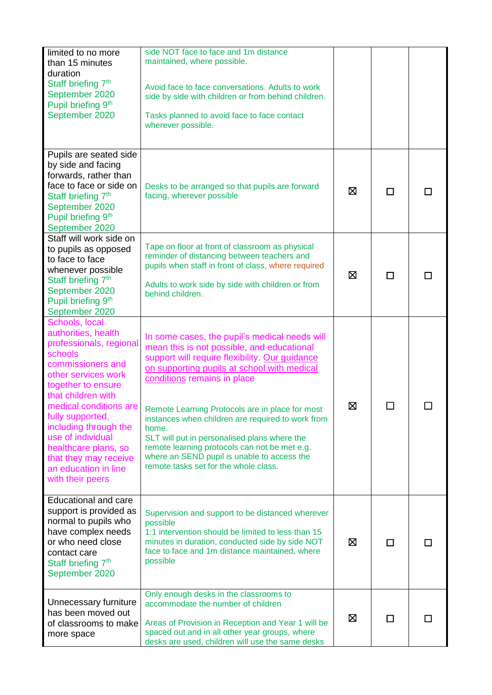| limited to no more<br>than 15 minutes<br>duration<br>Staff briefing 7 <sup>th</sup><br>September 2020<br>Pupil briefing 9th<br>September 2020                                                                                                                                                                                                                | side NOT face to face and 1m distance<br>maintained, where possible.<br>Avoid face to face conversations. Adults to work<br>side by side with children or from behind children.<br>Tasks planned to avoid face to face contact<br>wherever possible.                                                                                                                                                                                                                                                                                  |   |   |  |
|--------------------------------------------------------------------------------------------------------------------------------------------------------------------------------------------------------------------------------------------------------------------------------------------------------------------------------------------------------------|---------------------------------------------------------------------------------------------------------------------------------------------------------------------------------------------------------------------------------------------------------------------------------------------------------------------------------------------------------------------------------------------------------------------------------------------------------------------------------------------------------------------------------------|---|---|--|
| Pupils are seated side<br>by side and facing<br>forwards, rather than<br>face to face or side on<br>Staff briefing 7 <sup>th</sup><br>September 2020<br>Pupil briefing 9th<br>September 2020                                                                                                                                                                 | Desks to be arranged so that pupils are forward<br>facing, wherever possible                                                                                                                                                                                                                                                                                                                                                                                                                                                          | ⊠ | □ |  |
| Staff will work side on<br>to pupils as opposed<br>to face to face<br>whenever possible<br>Staff briefing 7 <sup>th</sup><br>September 2020<br>Pupil briefing 9 <sup>th</sup><br>September 2020                                                                                                                                                              | Tape on floor at front of classroom as physical<br>reminder of distancing between teachers and<br>pupils when staff in front of class, where required<br>Adults to work side by side with children or from<br>behind children.                                                                                                                                                                                                                                                                                                        | ⊠ | П |  |
| Schools, local<br>authorities, health<br>professionals, regional<br>schools<br>commissioners and<br>other services work<br>together to ensure<br>that children with<br>medical conditions are<br>fully supported,<br>including through the<br>use of individual<br>healthcare plans, so<br>that they may receive<br>an education in line<br>with their peers | In some cases, the pupil's medical needs will<br>mean this is not possible, and educational<br>support will require flexibility. Our guidance<br>on supporting pupils at school with medical<br>conditions remains in place<br>Remote Learning Protocols are in place for most<br>instances when children are required to work from<br>home.<br>SLT will put in personalised plans where the<br>remote learning protocols can not be met e.g.<br>where an SEND pupil is unable to access the<br>remote tasks set for the whole class. | ⊠ |   |  |
| <b>Educational and care</b><br>support is provided as<br>normal to pupils who<br>have complex needs<br>or who need close<br>contact care<br>Staff briefing 7 <sup>th</sup><br>September 2020                                                                                                                                                                 | Supervision and support to be distanced wherever<br>possible<br>1:1 intervention should be limited to less than 15<br>minutes in duration, conducted side by side NOT<br>face to face and 1m distance maintained, where<br>possible                                                                                                                                                                                                                                                                                                   | ⊠ | П |  |
| Unnecessary furniture<br>has been moved out<br>of classrooms to make<br>more space                                                                                                                                                                                                                                                                           | Only enough desks in the classrooms to<br>accommodate the number of children<br>Areas of Provision in Reception and Year 1 will be<br>spaced out and in all other year groups, where<br>desks are used, children will use the same desks                                                                                                                                                                                                                                                                                              | ⊠ | П |  |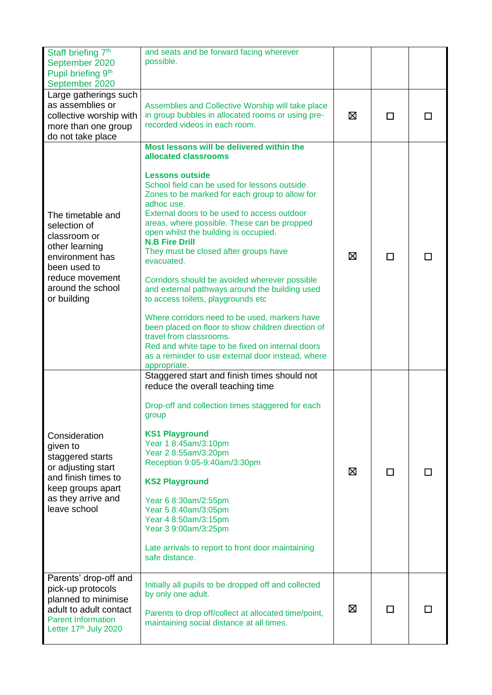| Staff briefing 7 <sup>th</sup><br>September 2020<br>Pupil briefing 9 <sup>th</sup><br>September 2020                                                          | and seats and be forward facing wherever<br>possible.                                                                                                                                                                                                                                                                                                                                                                                                                                                                                                                                                                                                                                                                                                                                                                                   |   |   |  |
|---------------------------------------------------------------------------------------------------------------------------------------------------------------|-----------------------------------------------------------------------------------------------------------------------------------------------------------------------------------------------------------------------------------------------------------------------------------------------------------------------------------------------------------------------------------------------------------------------------------------------------------------------------------------------------------------------------------------------------------------------------------------------------------------------------------------------------------------------------------------------------------------------------------------------------------------------------------------------------------------------------------------|---|---|--|
| Large gatherings such<br>as assemblies or<br>collective worship with<br>more than one group<br>do not take place                                              | Assemblies and Collective Worship will take place<br>in group bubbles in allocated rooms or using pre-<br>recorded videos in each room.                                                                                                                                                                                                                                                                                                                                                                                                                                                                                                                                                                                                                                                                                                 | ⊠ | п |  |
| The timetable and<br>selection of<br>classroom or<br>other learning<br>environment has<br>been used to<br>reduce movement<br>around the school<br>or building | Most lessons will be delivered within the<br>allocated classrooms<br><b>Lessons outside</b><br>School field can be used for lessons outside.<br>Zones to be marked for each group to allow for<br>adhoc use.<br>External doors to be used to access outdoor<br>areas, where possible. These can be propped<br>open whilst the building is occupied.<br><b>N.B Fire Drill</b><br>They must be closed after groups have<br>evacuated.<br>Corridors should be avoided wherever possible<br>and external pathways around the building used<br>to access toilets, playgrounds etc<br>Where corridors need to be used, markers have<br>been placed on floor to show children direction of<br>travel from classrooms.<br>Red and white tape to be fixed on internal doors<br>as a reminder to use external door instead, where<br>appropriate. | ⊠ | П |  |
| Consideration<br>given to<br>staggered starts<br>or adjusting start<br>and finish times to<br>keep groups apart<br>as they arrive and<br>leave school         | Staggered start and finish times should not<br>reduce the overall teaching time<br>Drop-off and collection times staggered for each<br>group<br><b>KS1 Playground</b><br>Year 1 8:45am/3:10pm<br>Year 2 8:55am/3:20pm<br>Reception 9:05-9:40am/3:30pm<br><b>KS2 Playground</b><br>Year 6 8:30am/2:55pm<br>Year 5 8:40am/3:05pm<br>Year 4 8:50am/3:15pm<br>Year 3 9:00am/3:25pm<br>Late arrivals to report to front door maintaining<br>safe distance.                                                                                                                                                                                                                                                                                                                                                                                   | ⊠ | П |  |
| Parents' drop-off and<br>pick-up protocols<br>planned to minimise<br>adult to adult contact<br><b>Parent Information</b><br>Letter 17th July 2020             | Initially all pupils to be dropped off and collected<br>by only one adult.<br>Parents to drop off/collect at allocated time/point,<br>maintaining social distance at all times.                                                                                                                                                                                                                                                                                                                                                                                                                                                                                                                                                                                                                                                         | ⊠ | □ |  |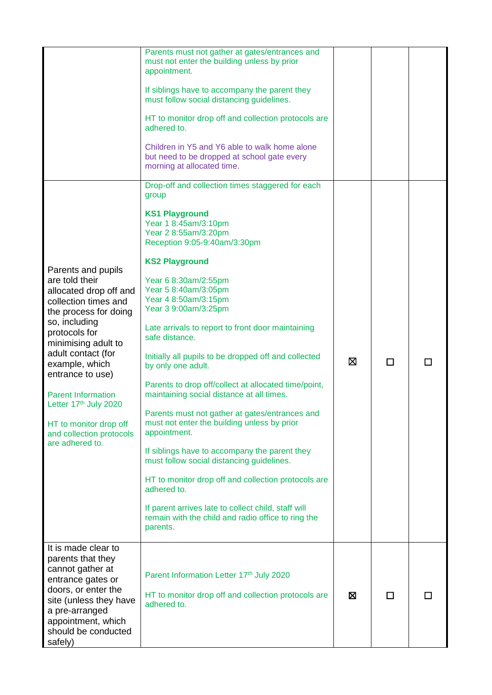|                                                                                                                                                                                                                                                                                                                                                                     | Parents must not gather at gates/entrances and<br>must not enter the building unless by prior<br>appointment.<br>If siblings have to accompany the parent they<br>must follow social distancing guidelines.<br>HT to monitor drop off and collection protocols are<br>adhered to.<br>Children in Y5 and Y6 able to walk home alone<br>but need to be dropped at school gate every                                                                                                                                                                                                                                                                                                                                                                                                                                                                                                                                                                       |   |   |  |
|---------------------------------------------------------------------------------------------------------------------------------------------------------------------------------------------------------------------------------------------------------------------------------------------------------------------------------------------------------------------|---------------------------------------------------------------------------------------------------------------------------------------------------------------------------------------------------------------------------------------------------------------------------------------------------------------------------------------------------------------------------------------------------------------------------------------------------------------------------------------------------------------------------------------------------------------------------------------------------------------------------------------------------------------------------------------------------------------------------------------------------------------------------------------------------------------------------------------------------------------------------------------------------------------------------------------------------------|---|---|--|
|                                                                                                                                                                                                                                                                                                                                                                     | morning at allocated time.                                                                                                                                                                                                                                                                                                                                                                                                                                                                                                                                                                                                                                                                                                                                                                                                                                                                                                                              |   |   |  |
| Parents and pupils<br>are told their<br>allocated drop off and<br>collection times and<br>the process for doing<br>so, including<br>protocols for<br>minimising adult to<br>adult contact (for<br>example, which<br>entrance to use)<br><b>Parent Information</b><br>Letter 17th July 2020<br>HT to monitor drop off<br>and collection protocols<br>are adhered to. | Drop-off and collection times staggered for each<br>group<br><b>KS1 Playground</b><br>Year 1 8:45am/3:10pm<br>Year 2 8:55am/3:20pm<br>Reception 9:05-9:40am/3:30pm<br><b>KS2 Playground</b><br>Year 6 8:30am/2:55pm<br>Year 5 8:40am/3:05pm<br>Year 4 8:50am/3:15pm<br>Year 3 9:00am/3:25pm<br>Late arrivals to report to front door maintaining<br>safe distance.<br>Initially all pupils to be dropped off and collected<br>by only one adult.<br>Parents to drop off/collect at allocated time/point,<br>maintaining social distance at all times.<br>Parents must not gather at gates/entrances and<br>must not enter the building unless by prior<br>appointment.<br>If siblings have to accompany the parent they<br>must follow social distancing guidelines.<br>HT to monitor drop off and collection protocols are<br>adhered to.<br>If parent arrives late to collect child, staff will<br>remain with the child and radio office to ring the | ⊠ | П |  |
| It is made clear to<br>parents that they<br>cannot gather at<br>entrance gates or<br>doors, or enter the<br>site (unless they have<br>a pre-arranged<br>appointment, which<br>should be conducted<br>safely)                                                                                                                                                        | parents.<br>Parent Information Letter 17th July 2020<br>HT to monitor drop off and collection protocols are<br>adhered to.                                                                                                                                                                                                                                                                                                                                                                                                                                                                                                                                                                                                                                                                                                                                                                                                                              | ⊠ | П |  |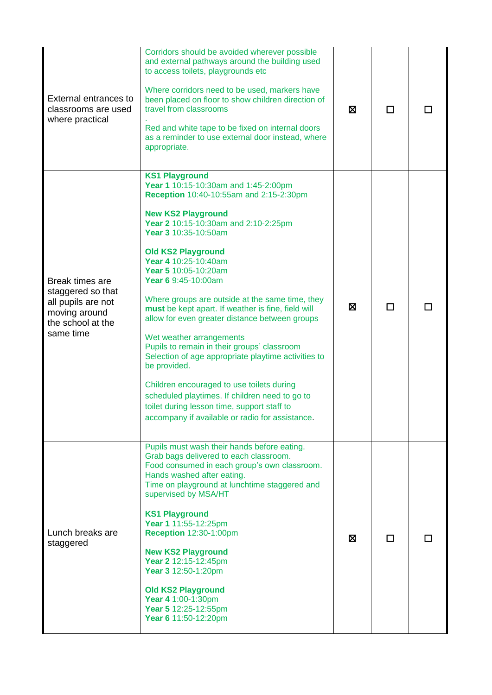| <b>External entrances to</b><br>classrooms are used<br>where practical                                        | Corridors should be avoided wherever possible<br>and external pathways around the building used<br>to access toilets, playgrounds etc<br>Where corridors need to be used, markers have<br>been placed on floor to show children direction of<br>travel from classrooms<br>Red and white tape to be fixed on internal doors<br>as a reminder to use external door instead, where<br>appropriate.                                                                                                                                                                                                                                                                                                                                                                                                                         | 区 | П |  |
|---------------------------------------------------------------------------------------------------------------|-------------------------------------------------------------------------------------------------------------------------------------------------------------------------------------------------------------------------------------------------------------------------------------------------------------------------------------------------------------------------------------------------------------------------------------------------------------------------------------------------------------------------------------------------------------------------------------------------------------------------------------------------------------------------------------------------------------------------------------------------------------------------------------------------------------------------|---|---|--|
| Break times are<br>staggered so that<br>all pupils are not<br>moving around<br>the school at the<br>same time | <b>KS1 Playground</b><br>Year 1 10:15-10:30am and 1:45-2:00pm<br>Reception 10:40-10:55am and 2:15-2:30pm<br><b>New KS2 Playground</b><br>Year 2 10:15-10:30am and 2:10-2:25pm<br>Year 3 10:35-10:50am<br><b>Old KS2 Playground</b><br>Year 4 10:25-10:40am<br>Year 5 10:05-10:20am<br>Year 6 9:45-10:00am<br>Where groups are outside at the same time, they<br>must be kept apart. If weather is fine, field will<br>allow for even greater distance between groups<br>Wet weather arrangements<br>Pupils to remain in their groups' classroom<br>Selection of age appropriate playtime activities to<br>be provided.<br>Children encouraged to use toilets during<br>scheduled playtimes. If children need to go to<br>toilet during lesson time, support staff to<br>accompany if available or radio for assistance. | Ø | П |  |
| Lunch breaks are<br>staggered                                                                                 | Pupils must wash their hands before eating.<br>Grab bags delivered to each classroom.<br>Food consumed in each group's own classroom.<br>Hands washed after eating.<br>Time on playground at lunchtime staggered and<br>supervised by MSA/HT<br><b>KS1 Playground</b><br>Year 1 11:55-12:25pm<br><b>Reception 12:30-1:00pm</b><br><b>New KS2 Playground</b><br>Year 2 12:15-12:45pm<br>Year 3 12:50-1:20pm<br><b>Old KS2 Playground</b><br>Year 4 1:00-1:30pm<br>Year 5 12:25-12:55pm<br>Year 6 11:50-12:20pm                                                                                                                                                                                                                                                                                                           | ⊠ |   |  |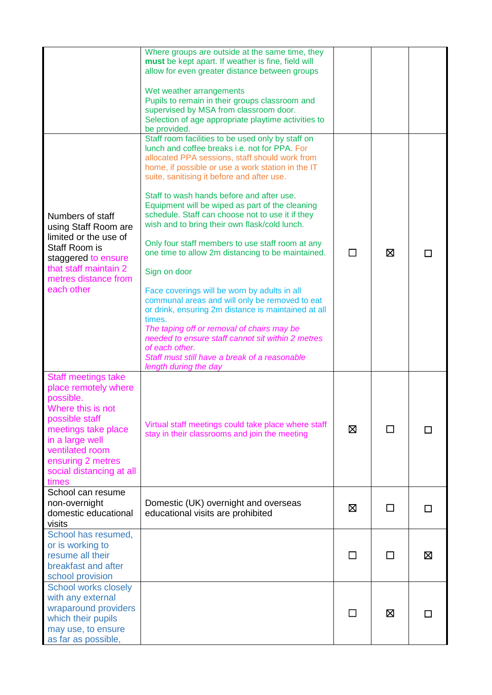|                                                                                                                                                                                                                               | Where groups are outside at the same time, they<br>must be kept apart. If weather is fine, field will<br>allow for even greater distance between groups<br>Wet weather arrangements<br>Pupils to remain in their groups classroom and<br>supervised by MSA from classroom door.                                                                                                                                                                                                                                                                                                                                                                                                                                                                                                                                                                                                                                                                         |         |              |   |
|-------------------------------------------------------------------------------------------------------------------------------------------------------------------------------------------------------------------------------|---------------------------------------------------------------------------------------------------------------------------------------------------------------------------------------------------------------------------------------------------------------------------------------------------------------------------------------------------------------------------------------------------------------------------------------------------------------------------------------------------------------------------------------------------------------------------------------------------------------------------------------------------------------------------------------------------------------------------------------------------------------------------------------------------------------------------------------------------------------------------------------------------------------------------------------------------------|---------|--------------|---|
|                                                                                                                                                                                                                               | Selection of age appropriate playtime activities to<br>be provided.                                                                                                                                                                                                                                                                                                                                                                                                                                                                                                                                                                                                                                                                                                                                                                                                                                                                                     |         |              |   |
| Numbers of staff<br>using Staff Room are<br>limited or the use of<br>Staff Room is<br>staggered to ensure<br>that staff maintain 2<br>metres distance from<br>each other                                                      | Staff room facilities to be used only by staff on<br>lunch and coffee breaks i.e. not for PPA. For<br>allocated PPA sessions, staff should work from<br>home, if possible or use a work station in the IT<br>suite, sanitising it before and after use.<br>Staff to wash hands before and after use.<br>Equipment will be wiped as part of the cleaning<br>schedule. Staff can choose not to use it if they<br>wish and to bring their own flask/cold lunch.<br>Only four staff members to use staff room at any<br>one time to allow 2m distancing to be maintained.<br>Sign on door<br>Face coverings will be worn by adults in all<br>communal areas and will only be removed to eat<br>or drink, ensuring 2m distance is maintained at all<br>times.<br>The taping off or removal of chairs may be<br>needed to ensure staff cannot sit within 2 metres<br>of each other.<br>Staff must still have a break of a reasonable<br>length during the day | ΙI      | 区            |   |
| <b>Staff meetings take</b><br>place remotely where<br>possible.<br>Where this is not<br>possible staff<br>meetings take place<br>in a large well<br>ventilated room<br>ensuring 2 metres<br>social distancing at all<br>times | Virtual staff meetings could take place where staff<br>stay in their classrooms and join the meeting                                                                                                                                                                                                                                                                                                                                                                                                                                                                                                                                                                                                                                                                                                                                                                                                                                                    | X       | ΙI           |   |
| School can resume<br>non-overnight                                                                                                                                                                                            | Domestic (UK) overnight and overseas                                                                                                                                                                                                                                                                                                                                                                                                                                                                                                                                                                                                                                                                                                                                                                                                                                                                                                                    |         |              |   |
| domestic educational<br>visits                                                                                                                                                                                                | educational visits are prohibited                                                                                                                                                                                                                                                                                                                                                                                                                                                                                                                                                                                                                                                                                                                                                                                                                                                                                                                       | ⊠       | ΙI           | П |
| School has resumed,<br>or is working to<br>resume all their<br>breakfast and after<br>school provision                                                                                                                        |                                                                                                                                                                                                                                                                                                                                                                                                                                                                                                                                                                                                                                                                                                                                                                                                                                                                                                                                                         | $\perp$ | $\mathbf{I}$ | ⊠ |
| <b>School works closely</b><br>with any external<br>wraparound providers<br>which their pupils<br>may use, to ensure<br>as far as possible,                                                                                   |                                                                                                                                                                                                                                                                                                                                                                                                                                                                                                                                                                                                                                                                                                                                                                                                                                                                                                                                                         |         | ⊠            |   |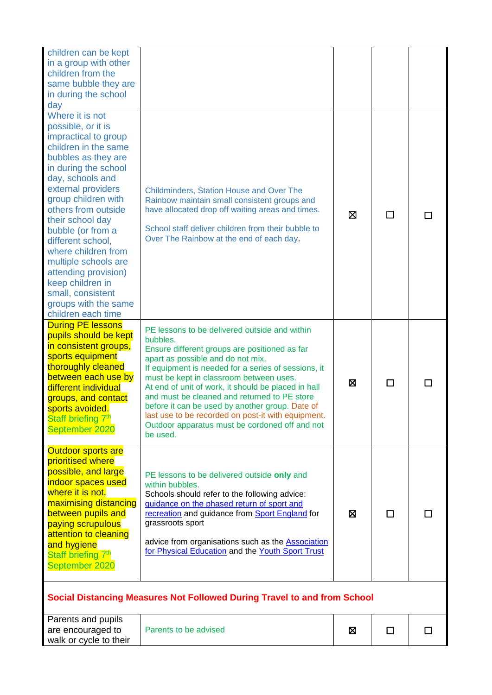| children can be kept<br>in a group with other<br>children from the<br>same bubble they are<br>in during the school<br>day                                                                                                                                                                                                                                                                                                                                |                                                                                                                                                                                                                                                                                                                                                                                                                                                                                                                                 |             |   |  |
|----------------------------------------------------------------------------------------------------------------------------------------------------------------------------------------------------------------------------------------------------------------------------------------------------------------------------------------------------------------------------------------------------------------------------------------------------------|---------------------------------------------------------------------------------------------------------------------------------------------------------------------------------------------------------------------------------------------------------------------------------------------------------------------------------------------------------------------------------------------------------------------------------------------------------------------------------------------------------------------------------|-------------|---|--|
| Where it is not<br>possible, or it is<br>impractical to group<br>children in the same<br>bubbles as they are<br>in during the school<br>day, schools and<br>external providers<br>group children with<br>others from outside<br>their school day<br>bubble (or from a<br>different school,<br>where children from<br>multiple schools are<br>attending provision)<br>keep children in<br>small, consistent<br>groups with the same<br>children each time | <b>Childminders, Station House and Over The</b><br>Rainbow maintain small consistent groups and<br>have allocated drop off waiting areas and times.<br>School staff deliver children from their bubble to<br>Over The Rainbow at the end of each day.                                                                                                                                                                                                                                                                           | ⊠           |   |  |
| <b>During PE lessons</b><br>pupils should be kept<br>in consistent groups,<br>sports equipment<br>thoroughly cleaned<br>between each use by<br>different individual<br>groups, and contact<br>sports avoided.<br>Staff briefing 7th<br>September 2020                                                                                                                                                                                                    | PE lessons to be delivered outside and within<br>bubbles.<br>Ensure different groups are positioned as far<br>apart as possible and do not mix.<br>If equipment is needed for a series of sessions, it<br>must be kept in classroom between uses.<br>At end of unit of work, it should be placed in hall<br>and must be cleaned and returned to PE store<br>before it can be used by another group. Date of<br>last use to be recorded on post-it with equipment.<br>Outdoor apparatus must be cordoned off and not<br>be used. | X           | П |  |
| <b>Outdoor sports are</b><br>prioritised where<br>possible, and large<br>indoor spaces used<br>where it is not,<br>maximising distancing<br>between pupils and<br>paying scrupulous<br>attention to cleaning<br>and hygiene<br>Staff briefing 7 <sup>th</sup><br>September 2020                                                                                                                                                                          | PE lessons to be delivered outside only and<br>within bubbles.<br>Schools should refer to the following advice:<br>guidance on the phased return of sport and<br>recreation and guidance from Sport England for<br>grassroots sport<br>advice from organisations such as the <b>Association</b><br>for Physical Education and the Youth Sport Trust                                                                                                                                                                             | X           | п |  |
|                                                                                                                                                                                                                                                                                                                                                                                                                                                          | Social Distancing Measures Not Followed During Travel to and from School                                                                                                                                                                                                                                                                                                                                                                                                                                                        |             |   |  |
| Parents and pupils<br>are encouraged to                                                                                                                                                                                                                                                                                                                                                                                                                  | Parents to be advised                                                                                                                                                                                                                                                                                                                                                                                                                                                                                                           | $\boxtimes$ | П |  |

walk or cycle to their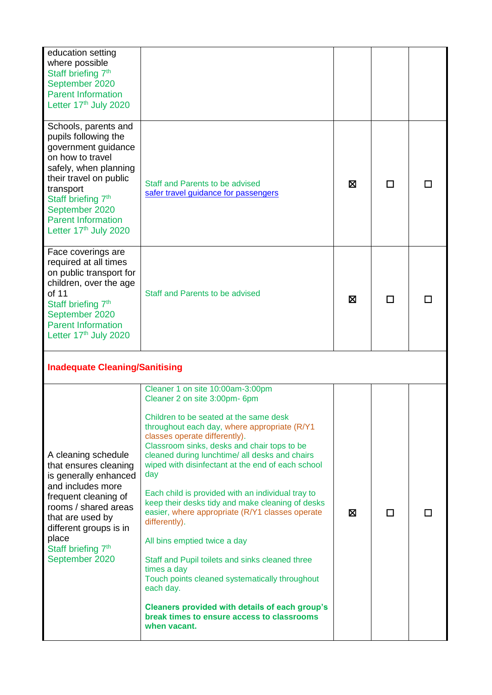| education setting<br>where possible<br>Staff briefing 7 <sup>th</sup><br>September 2020<br><b>Parent Information</b><br>Letter 17th July 2020                                                                                                                     |                                                                                                                                                                                                                                                                                                                                                                                                                                                                                                                                                                                                                                                                                                                                                                                                                               |   |   |  |
|-------------------------------------------------------------------------------------------------------------------------------------------------------------------------------------------------------------------------------------------------------------------|-------------------------------------------------------------------------------------------------------------------------------------------------------------------------------------------------------------------------------------------------------------------------------------------------------------------------------------------------------------------------------------------------------------------------------------------------------------------------------------------------------------------------------------------------------------------------------------------------------------------------------------------------------------------------------------------------------------------------------------------------------------------------------------------------------------------------------|---|---|--|
| Schools, parents and<br>pupils following the<br>government guidance<br>on how to travel<br>safely, when planning<br>their travel on public<br>transport<br>Staff briefing 7 <sup>th</sup><br>September 2020<br><b>Parent Information</b><br>Letter 17th July 2020 | Staff and Parents to be advised<br>safer travel guidance for passengers                                                                                                                                                                                                                                                                                                                                                                                                                                                                                                                                                                                                                                                                                                                                                       | ⊠ | П |  |
| Face coverings are<br>required at all times<br>on public transport for<br>children, over the age<br>of 11<br>Staff briefing 7 <sup>th</sup><br>September 2020<br><b>Parent Information</b><br>Letter 17th July 2020                                               | Staff and Parents to be advised                                                                                                                                                                                                                                                                                                                                                                                                                                                                                                                                                                                                                                                                                                                                                                                               | ⊠ | П |  |
| <b>Inadequate Cleaning/Sanitising</b>                                                                                                                                                                                                                             |                                                                                                                                                                                                                                                                                                                                                                                                                                                                                                                                                                                                                                                                                                                                                                                                                               |   |   |  |
| A cleaning schedule<br>that ensures cleaning<br>is generally enhanced<br>and includes more<br>frequent cleaning of<br>rooms / shared areas<br>that are used by<br>different groups is in<br>place<br>Staff briefing 7 <sup>th</sup><br>September 2020             | Cleaner 1 on site 10:00am-3:00pm<br>Cleaner 2 on site 3:00pm-6pm<br>Children to be seated at the same desk<br>throughout each day, where appropriate (R/Y1<br>classes operate differently).<br>Classroom sinks, desks and chair tops to be<br>cleaned during lunchtime/ all desks and chairs<br>wiped with disinfectant at the end of each school<br>day<br>Each child is provided with an individual tray to<br>keep their desks tidy and make cleaning of desks<br>easier, where appropriate (R/Y1 classes operate<br>differently).<br>All bins emptied twice a day<br>Staff and Pupil toilets and sinks cleaned three<br>times a day<br>Touch points cleaned systematically throughout<br>each day.<br><b>Cleaners provided with details of each group's</b><br>break times to ensure access to classrooms<br>when vacant. | ⊠ | П |  |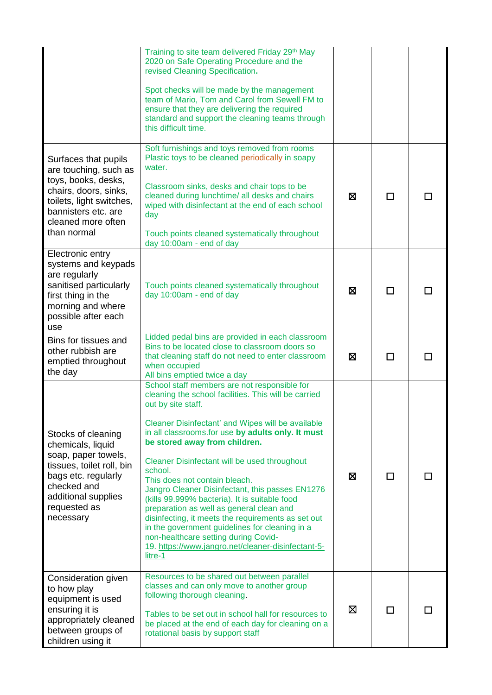|                                                                                                                                                                                       | Training to site team delivered Friday 29th May<br>2020 on Safe Operating Procedure and the<br>revised Cleaning Specification.<br>Spot checks will be made by the management<br>team of Mario, Tom and Carol from Sewell FM to<br>ensure that they are delivering the required<br>standard and support the cleaning teams through<br>this difficult time.                                                                                                                                                                                                                                                                                                                                                                          |   |   |  |
|---------------------------------------------------------------------------------------------------------------------------------------------------------------------------------------|------------------------------------------------------------------------------------------------------------------------------------------------------------------------------------------------------------------------------------------------------------------------------------------------------------------------------------------------------------------------------------------------------------------------------------------------------------------------------------------------------------------------------------------------------------------------------------------------------------------------------------------------------------------------------------------------------------------------------------|---|---|--|
| Surfaces that pupils<br>are touching, such as<br>toys, books, desks,<br>chairs, doors, sinks,<br>toilets, light switches,<br>bannisters etc. are<br>cleaned more often<br>than normal | Soft furnishings and toys removed from rooms<br>Plastic toys to be cleaned periodically in soapy<br>water.<br>Classroom sinks, desks and chair tops to be<br>cleaned during lunchtime/ all desks and chairs<br>wiped with disinfectant at the end of each school<br>day<br>Touch points cleaned systematically throughout<br>day 10:00am - end of day                                                                                                                                                                                                                                                                                                                                                                              | ⊠ | П |  |
| Electronic entry<br>systems and keypads<br>are regularly<br>sanitised particularly<br>first thing in the<br>morning and where<br>possible after each<br>use                           | Touch points cleaned systematically throughout<br>day 10:00am - end of day                                                                                                                                                                                                                                                                                                                                                                                                                                                                                                                                                                                                                                                         | ⊠ | П |  |
| Bins for tissues and<br>other rubbish are<br>emptied throughout<br>the day                                                                                                            | Lidded pedal bins are provided in each classroom<br>Bins to be located close to classroom doors so<br>that cleaning staff do not need to enter classroom<br>when occupied<br>All bins emptied twice a day                                                                                                                                                                                                                                                                                                                                                                                                                                                                                                                          | ⊠ | П |  |
| Stocks of cleaning<br>chemicals, liquid<br>soap, paper towels,<br>tissues, toilet roll, bin<br>bags etc. regularly<br>checked and<br>additional supplies<br>requested as<br>necessary | School staff members are not responsible for<br>cleaning the school facilities. This will be carried<br>out by site staff.<br>Cleaner Disinfectant' and Wipes will be available<br>in all classrooms.for use by adults only. It must<br>be stored away from children.<br>Cleaner Disinfectant will be used throughout<br>school.<br>This does not contain bleach.<br>Jangro Cleaner Disinfectant, this passes EN1276<br>(kills 99.999% bacteria). It is suitable food<br>preparation as well as general clean and<br>disinfecting, it meets the requirements as set out<br>in the government guidelines for cleaning in a<br>non-healthcare setting during Covid-<br>19. https://www.jangro.net/cleaner-disinfectant-5-<br>litre-1 | 図 | П |  |
| Consideration given<br>to how play<br>equipment is used<br>ensuring it is<br>appropriately cleaned<br>between groups of<br>children using it                                          | Resources to be shared out between parallel<br>classes and can only move to another group<br>following thorough cleaning.<br>Tables to be set out in school hall for resources to<br>be placed at the end of each day for cleaning on a<br>rotational basis by support staff                                                                                                                                                                                                                                                                                                                                                                                                                                                       | ⊠ | П |  |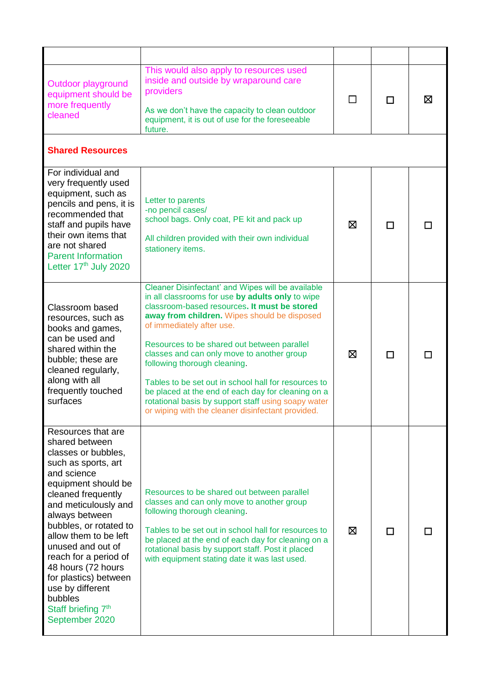| Outdoor playground<br>equipment should be<br>more frequently<br>cleaned                                                                                                                                                                                                                                                                                                                                                     | This would also apply to resources used<br>inside and outside by wraparound care<br>providers<br>As we don't have the capacity to clean outdoor<br>equipment, it is out of use for the foreseeable<br>future.                                                                                                                                                                                                                                                                                                                                                                             | $\Box$ | П | ⊠ |
|-----------------------------------------------------------------------------------------------------------------------------------------------------------------------------------------------------------------------------------------------------------------------------------------------------------------------------------------------------------------------------------------------------------------------------|-------------------------------------------------------------------------------------------------------------------------------------------------------------------------------------------------------------------------------------------------------------------------------------------------------------------------------------------------------------------------------------------------------------------------------------------------------------------------------------------------------------------------------------------------------------------------------------------|--------|---|---|
| <b>Shared Resources</b>                                                                                                                                                                                                                                                                                                                                                                                                     |                                                                                                                                                                                                                                                                                                                                                                                                                                                                                                                                                                                           |        |   |   |
| For individual and<br>very frequently used<br>equipment, such as<br>pencils and pens, it is<br>recommended that<br>staff and pupils have<br>their own items that<br>are not shared<br><b>Parent Information</b><br>Letter 17th July 2020                                                                                                                                                                                    | Letter to parents<br>-no pencil cases/<br>school bags. Only coat, PE kit and pack up<br>All children provided with their own individual<br>stationery items.                                                                                                                                                                                                                                                                                                                                                                                                                              | ⊠      | П |   |
| Classroom based<br>resources, such as<br>books and games,<br>can be used and<br>shared within the<br>bubble; these are<br>cleaned regularly,<br>along with all<br>frequently touched<br>surfaces                                                                                                                                                                                                                            | Cleaner Disinfectant' and Wipes will be available<br>in all classrooms for use by adults only to wipe<br>classroom-based resources. It must be stored<br>away from children. Wipes should be disposed<br>of immediately after use.<br>Resources to be shared out between parallel<br>classes and can only move to another group<br>following thorough cleaning.<br>Tables to be set out in school hall for resources to<br>be placed at the end of each day for cleaning on a<br>rotational basis by support staff using soapy water<br>or wiping with the cleaner disinfectant provided. | ⊠      | П |   |
| Resources that are<br>shared between<br>classes or bubbles,<br>such as sports, art<br>and science<br>equipment should be<br>cleaned frequently<br>and meticulously and<br>always between<br>bubbles, or rotated to<br>allow them to be left<br>unused and out of<br>reach for a period of<br>48 hours (72 hours<br>for plastics) between<br>use by different<br>bubbles<br>Staff briefing 7 <sup>th</sup><br>September 2020 | Resources to be shared out between parallel<br>classes and can only move to another group<br>following thorough cleaning.<br>Tables to be set out in school hall for resources to<br>be placed at the end of each day for cleaning on a<br>rotational basis by support staff. Post it placed<br>with equipment stating date it was last used.                                                                                                                                                                                                                                             | ⊠      | П |   |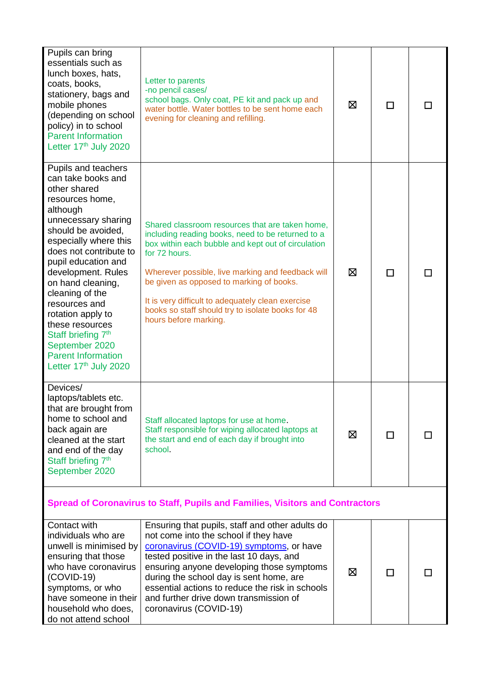| Pupils can bring<br>essentials such as<br>lunch boxes, hats,<br>coats, books,<br>stationery, bags and<br>mobile phones<br>(depending on school<br>policy) in to school<br><b>Parent Information</b><br>Letter 17th July 2020                                                                                                                                                                                                                     | Letter to parents<br>-no pencil cases/<br>school bags. Only coat, PE kit and pack up and<br>water bottle. Water bottles to be sent home each<br>evening for cleaning and refilling.                                                                                                                                                                                                                             | ⊠ | П |  |
|--------------------------------------------------------------------------------------------------------------------------------------------------------------------------------------------------------------------------------------------------------------------------------------------------------------------------------------------------------------------------------------------------------------------------------------------------|-----------------------------------------------------------------------------------------------------------------------------------------------------------------------------------------------------------------------------------------------------------------------------------------------------------------------------------------------------------------------------------------------------------------|---|---|--|
| Pupils and teachers<br>can take books and<br>other shared<br>resources home,<br>although<br>unnecessary sharing<br>should be avoided,<br>especially where this<br>does not contribute to<br>pupil education and<br>development. Rules<br>on hand cleaning,<br>cleaning of the<br>resources and<br>rotation apply to<br>these resources<br>Staff briefing 7 <sup>th</sup><br>September 2020<br><b>Parent Information</b><br>Letter 17th July 2020 | Shared classroom resources that are taken home,<br>including reading books, need to be returned to a<br>box within each bubble and kept out of circulation<br>for 72 hours.<br>Wherever possible, live marking and feedback will<br>be given as opposed to marking of books.<br>It is very difficult to adequately clean exercise<br>books so staff should try to isolate books for 48<br>hours before marking. | ⊠ | П |  |
| Devices/<br>laptops/tablets etc.<br>that are brought from<br>home to school and<br>back again are<br>cleaned at the start<br>and end of the day<br>Staff briefing 7 <sup>th</sup><br>September 2020                                                                                                                                                                                                                                              | Staff allocated laptops for use at home.<br>Staff responsible for wiping allocated laptops at<br>the start and end of each day if brought into<br>school.                                                                                                                                                                                                                                                       | ⊠ | П |  |
| <b>Spread of Coronavirus to Staff, Pupils and Families, Visitors and Contractors</b>                                                                                                                                                                                                                                                                                                                                                             |                                                                                                                                                                                                                                                                                                                                                                                                                 |   |   |  |
| Contact with<br>individuals who are<br>unwell is minimised by<br>ensuring that those<br>who have coronavirus<br>$(COVID-19)$<br>symptoms, or who<br>have someone in their<br>household who does,<br>do not attend school                                                                                                                                                                                                                         | Ensuring that pupils, staff and other adults do<br>not come into the school if they have<br>coronavirus (COVID-19) symptoms, or have<br>tested positive in the last 10 days, and<br>ensuring anyone developing those symptoms<br>during the school day is sent home, are<br>essential actions to reduce the risk in schools<br>and further drive down transmission of<br>coronavirus (COVID-19)                 | ⊠ | □ |  |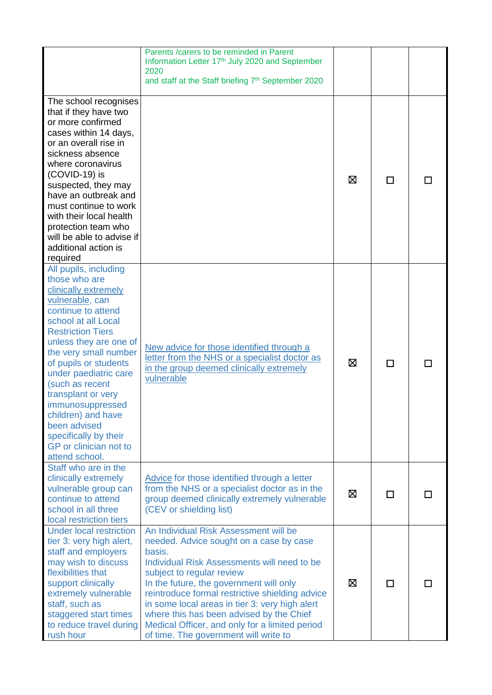|                                                                                                                                                                                                                                                                                                                                                                                                                                         | Parents / carers to be reminded in Parent<br>Information Letter 17th July 2020 and September<br>2020<br>and staff at the Staff briefing 7 <sup>th</sup> September 2020                                                                                                                                                                                                                                                                                        |   |     |  |
|-----------------------------------------------------------------------------------------------------------------------------------------------------------------------------------------------------------------------------------------------------------------------------------------------------------------------------------------------------------------------------------------------------------------------------------------|---------------------------------------------------------------------------------------------------------------------------------------------------------------------------------------------------------------------------------------------------------------------------------------------------------------------------------------------------------------------------------------------------------------------------------------------------------------|---|-----|--|
| The school recognises<br>that if they have two<br>or more confirmed<br>cases within 14 days,<br>or an overall rise in<br>sickness absence<br>where coronavirus<br>$(COVID-19)$ is<br>suspected, they may<br>have an outbreak and<br>must continue to work<br>with their local health<br>protection team who<br>will be able to advise if<br>additional action is<br>required                                                            |                                                                                                                                                                                                                                                                                                                                                                                                                                                               | ⊠ | п   |  |
| All pupils, including<br>those who are<br>clinically extremely<br>vulnerable, can<br>continue to attend<br>school at all Local<br><b>Restriction Tiers</b><br>unless they are one of<br>the very small number<br>of pupils or students<br>under paediatric care<br>(such as recent<br>transplant or very<br>immunosuppressed<br>children) and have<br>been advised<br>specifically by their<br>GP or clinician not to<br>attend school. | New advice for those identified through a<br>letter from the NHS or a specialist doctor as<br>in the group deemed clinically extremely<br>vulnerable                                                                                                                                                                                                                                                                                                          | ⊠ | П   |  |
| Staff who are in the<br>clinically extremely<br>vulnerable group can<br>continue to attend<br>school in all three<br>local restriction tiers                                                                                                                                                                                                                                                                                            | Advice for those identified through a letter<br>from the NHS or a specialist doctor as in the<br>group deemed clinically extremely vulnerable<br>(CEV or shielding list)                                                                                                                                                                                                                                                                                      | ⊠ | l l |  |
| <b>Under local restriction</b><br>tier 3: very high alert,<br>staff and employers<br>may wish to discuss<br>flexibilities that<br>support clinically<br>extremely vulnerable<br>staff, such as<br>staggered start times<br>to reduce travel during<br>rush hour                                                                                                                                                                         | An Individual Risk Assessment will be<br>needed. Advice sought on a case by case<br>basis.<br>Individual Risk Assessments will need to be<br>subject to regular review<br>In the future, the government will only<br>reintroduce formal restrictive shielding advice<br>in some local areas in tier 3: very high alert<br>where this has been advised by the Chief<br>Medical Officer, and only for a limited period<br>of time. The government will write to | ⊠ | П   |  |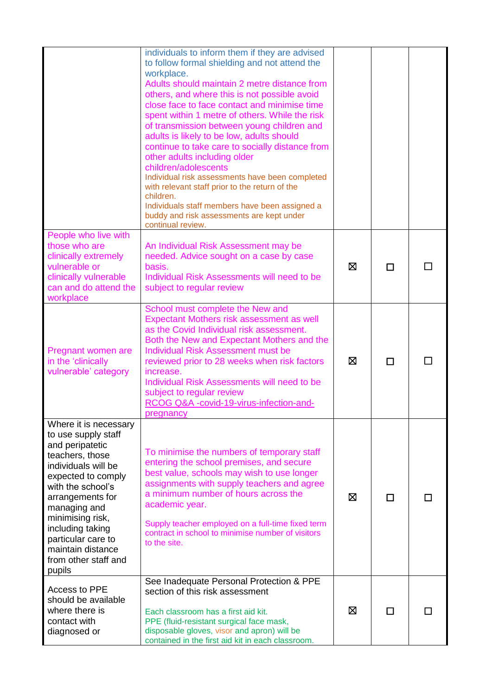|                                                                                                                                                                                                                                                                                                               | individuals to inform them if they are advised<br>to follow formal shielding and not attend the<br>workplace.<br>Adults should maintain 2 metre distance from<br>others, and where this is not possible avoid<br>close face to face contact and minimise time<br>spent within 1 metre of others. While the risk<br>of transmission between young children and<br>adults is likely to be low, adults should<br>continue to take care to socially distance from<br>other adults including older<br>children/adolescents<br>Individual risk assessments have been completed<br>with relevant staff prior to the return of the<br>children.<br>Individuals staff members have been assigned a<br>buddy and risk assessments are kept under<br>continual review. |   |   |  |
|---------------------------------------------------------------------------------------------------------------------------------------------------------------------------------------------------------------------------------------------------------------------------------------------------------------|-------------------------------------------------------------------------------------------------------------------------------------------------------------------------------------------------------------------------------------------------------------------------------------------------------------------------------------------------------------------------------------------------------------------------------------------------------------------------------------------------------------------------------------------------------------------------------------------------------------------------------------------------------------------------------------------------------------------------------------------------------------|---|---|--|
| People who live with<br>those who are<br>clinically extremely<br>vulnerable or<br>clinically vulnerable<br>can and do attend the<br>workplace                                                                                                                                                                 | An Individual Risk Assessment may be<br>needed. Advice sought on a case by case<br>basis.<br>Individual Risk Assessments will need to be<br>subject to regular review                                                                                                                                                                                                                                                                                                                                                                                                                                                                                                                                                                                       | ⊠ | П |  |
| Pregnant women are<br>in the 'clinically<br>vulnerable' category                                                                                                                                                                                                                                              | School must complete the New and<br>Expectant Mothers risk assessment as well<br>as the Covid Individual risk assessment.<br>Both the New and Expectant Mothers and the<br><b>Individual Risk Assessment must be</b><br>reviewed prior to 28 weeks when risk factors<br>increase.<br>Individual Risk Assessments will need to be<br>subject to regular review<br>RCOG Q&A -covid-19-virus-infection-and-<br>nreanancy                                                                                                                                                                                                                                                                                                                                       | ⊠ | п |  |
| Where it is necessary<br>to use supply staff<br>and peripatetic<br>teachers, those<br>individuals will be<br>expected to comply<br>with the school's<br>arrangements for<br>managing and<br>minimising risk,<br>including taking<br>particular care to<br>maintain distance<br>from other staff and<br>pupils | To minimise the numbers of temporary staff<br>entering the school premises, and secure<br>best value, schools may wish to use longer<br>assignments with supply teachers and agree<br>a minimum number of hours across the<br>academic year.<br>Supply teacher employed on a full-time fixed term<br>contract in school to minimise number of visitors<br>to the site.                                                                                                                                                                                                                                                                                                                                                                                      | ⊠ | П |  |
| Access to PPE<br>should be available<br>where there is<br>contact with<br>diagnosed or                                                                                                                                                                                                                        | See Inadequate Personal Protection & PPE<br>section of this risk assessment<br>Each classroom has a first aid kit.<br>PPE (fluid-resistant surgical face mask,<br>disposable gloves, visor and apron) will be<br>contained in the first aid kit in each classroom.                                                                                                                                                                                                                                                                                                                                                                                                                                                                                          | ⊠ | П |  |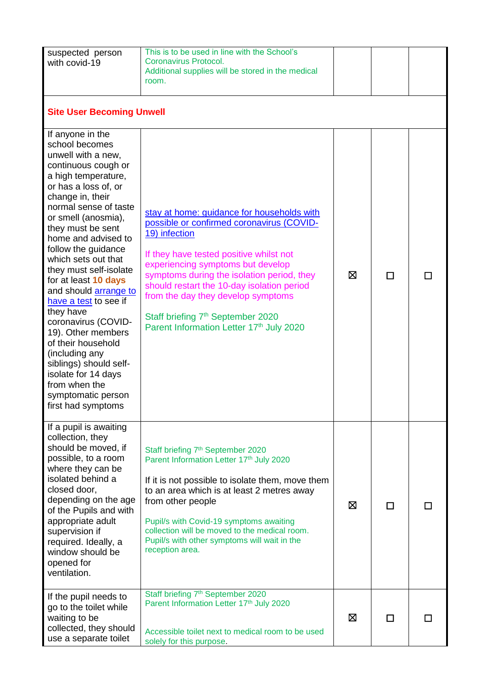| suspected person<br>with covid-19                                                                                                                                                                                                                                                                                                                                                                                                                                                                                                                                                                                | This is to be used in line with the School's<br>Coronavirus Protocol.<br>Additional supplies will be stored in the medical<br>room.                                                                                                                                                                                                                                                                                     |   |              |  |  |
|------------------------------------------------------------------------------------------------------------------------------------------------------------------------------------------------------------------------------------------------------------------------------------------------------------------------------------------------------------------------------------------------------------------------------------------------------------------------------------------------------------------------------------------------------------------------------------------------------------------|-------------------------------------------------------------------------------------------------------------------------------------------------------------------------------------------------------------------------------------------------------------------------------------------------------------------------------------------------------------------------------------------------------------------------|---|--------------|--|--|
| <b>Site User Becoming Unwell</b>                                                                                                                                                                                                                                                                                                                                                                                                                                                                                                                                                                                 |                                                                                                                                                                                                                                                                                                                                                                                                                         |   |              |  |  |
| If anyone in the<br>school becomes<br>unwell with a new,<br>continuous cough or<br>a high temperature,<br>or has a loss of, or<br>change in, their<br>normal sense of taste<br>or smell (anosmia),<br>they must be sent<br>home and advised to<br>follow the guidance<br>which sets out that<br>they must self-isolate<br>for at least 10 days<br>and should arrange to<br>have a test to see if<br>they have<br>coronavirus (COVID-<br>19). Other members<br>of their household<br>(including any<br>siblings) should self-<br>isolate for 14 days<br>from when the<br>symptomatic person<br>first had symptoms | stay at home: guidance for households with<br>possible or confirmed coronavirus (COVID-<br>19) infection<br>If they have tested positive whilst not<br>experiencing symptoms but develop<br>symptoms during the isolation period, they<br>should restart the 10-day isolation period<br>from the day they develop symptoms<br>Staff briefing 7 <sup>th</sup> September 2020<br>Parent Information Letter 17th July 2020 | ⊠ | П            |  |  |
| If a pupil is awaiting<br>collection, they<br>should be moved, if<br>possible, to a room<br>where they can be<br>isolated behind a<br>closed door,<br>depending on the age<br>of the Pupils and with<br>appropriate adult<br>supervision if<br>required. Ideally, a<br>window should be<br>opened for<br>ventilation.                                                                                                                                                                                                                                                                                            | Staff briefing 7 <sup>th</sup> September 2020<br>Parent Information Letter 17th July 2020<br>If it is not possible to isolate them, move them<br>to an area which is at least 2 metres away<br>from other people<br>Pupil/s with Covid-19 symptoms awaiting<br>collection will be moved to the medical room.<br>Pupil/s with other symptoms will wait in the<br>reception area.                                         | ⊠ | $\mathbf{L}$ |  |  |
| If the pupil needs to<br>go to the toilet while<br>waiting to be<br>collected, they should<br>use a separate toilet                                                                                                                                                                                                                                                                                                                                                                                                                                                                                              | Staff briefing 7 <sup>th</sup> September 2020<br>Parent Information Letter 17th July 2020<br>Accessible toilet next to medical room to be used<br>solely for this purpose.                                                                                                                                                                                                                                              | ⊠ | ⊓            |  |  |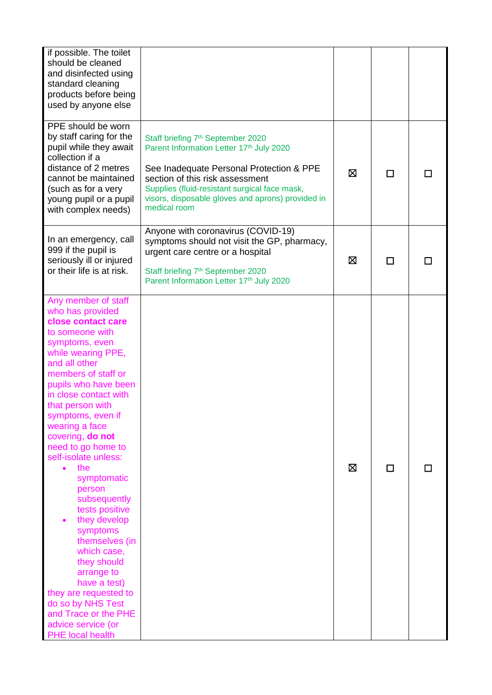| if possible. The toilet<br>should be cleaned<br>and disinfected using<br>standard cleaning<br>products before being<br>used by anyone else                                                                                                                                                                                                                                                                                                                                                                                                                                                                                                                     |                                                                                                                                                                                                                                                                                                |   |   |  |
|----------------------------------------------------------------------------------------------------------------------------------------------------------------------------------------------------------------------------------------------------------------------------------------------------------------------------------------------------------------------------------------------------------------------------------------------------------------------------------------------------------------------------------------------------------------------------------------------------------------------------------------------------------------|------------------------------------------------------------------------------------------------------------------------------------------------------------------------------------------------------------------------------------------------------------------------------------------------|---|---|--|
| PPE should be worn<br>by staff caring for the<br>pupil while they await<br>collection if a<br>distance of 2 metres<br>cannot be maintained<br>(such as for a very<br>young pupil or a pupil<br>with complex needs)                                                                                                                                                                                                                                                                                                                                                                                                                                             | Staff briefing 7 <sup>th</sup> September 2020<br>Parent Information Letter 17th July 2020<br>See Inadequate Personal Protection & PPE<br>section of this risk assessment<br>Supplies (fluid-resistant surgical face mask,<br>visors, disposable gloves and aprons) provided in<br>medical room | ⊠ | П |  |
| In an emergency, call<br>999 if the pupil is<br>seriously ill or injured<br>or their life is at risk.                                                                                                                                                                                                                                                                                                                                                                                                                                                                                                                                                          | Anyone with coronavirus (COVID-19)<br>symptoms should not visit the GP, pharmacy,<br>urgent care centre or a hospital<br>Staff briefing 7 <sup>th</sup> September 2020<br>Parent Information Letter 17th July 2020                                                                             | ⊠ | П |  |
| Any member of staff<br>who has provided<br>close contact care<br>to someone with<br>symptoms, even<br>while wearing PPE,<br>and all other<br>members of staff or<br>pupils who have been<br>in close contact with<br>that person with<br>symptoms, even if<br>wearing a face<br>covering, do not<br>need to go home to<br>self-isolate unless:<br>the<br>$\bullet$<br>symptomatic<br>person<br>subsequently<br>tests positive<br>they develop<br>symptoms<br>themselves (in<br>which case,<br>they should<br>arrange to<br>have a test)<br>they are requested to<br>do so by NHS Test<br>and Trace or the PHE<br>advice service (or<br><b>PHE</b> local health |                                                                                                                                                                                                                                                                                                | ⊠ | П |  |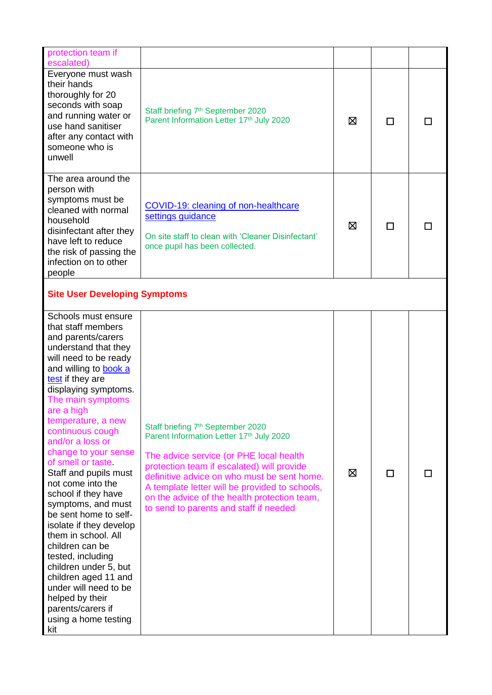| protection team if<br>escalated)                                                                                                                                                                                                                                                                                                                                                                                                                                                                                                                                                                                                                                                                          |                                                                                                                                                                                                                                                                                                                                                                               |   |   |  |
|-----------------------------------------------------------------------------------------------------------------------------------------------------------------------------------------------------------------------------------------------------------------------------------------------------------------------------------------------------------------------------------------------------------------------------------------------------------------------------------------------------------------------------------------------------------------------------------------------------------------------------------------------------------------------------------------------------------|-------------------------------------------------------------------------------------------------------------------------------------------------------------------------------------------------------------------------------------------------------------------------------------------------------------------------------------------------------------------------------|---|---|--|
| Everyone must wash<br>their hands<br>thoroughly for 20<br>seconds with soap<br>and running water or<br>use hand sanitiser<br>after any contact with<br>someone who is<br>unwell                                                                                                                                                                                                                                                                                                                                                                                                                                                                                                                           | Staff briefing 7 <sup>th</sup> September 2020<br>Parent Information Letter 17th July 2020                                                                                                                                                                                                                                                                                     | ⊠ | П |  |
| The area around the<br>person with<br>symptoms must be<br>cleaned with normal<br>household<br>disinfectant after they<br>have left to reduce<br>the risk of passing the<br>infection on to other<br>people                                                                                                                                                                                                                                                                                                                                                                                                                                                                                                | COVID-19: cleaning of non-healthcare<br>settings guidance<br>On site staff to clean with 'Cleaner Disinfectant'<br>once pupil has been collected.                                                                                                                                                                                                                             | ⊠ | П |  |
| <b>Site User Developing Symptoms</b>                                                                                                                                                                                                                                                                                                                                                                                                                                                                                                                                                                                                                                                                      |                                                                                                                                                                                                                                                                                                                                                                               |   |   |  |
| Schools must ensure<br>that staff members<br>and parents/carers<br>understand that they<br>will need to be ready<br>and willing to <b>book a</b><br>test if they are<br>displaying symptoms.<br>The main symptoms<br>are a high<br>temperature, a new<br>continuous cough<br>and/or a loss or<br>change to your sense<br>of smell or taste<br>Staff and pupils must<br>not come into the<br>school if they have<br>symptoms, and must<br>be sent home to self-<br>isolate if they develop<br>them in school. All<br>children can be<br>tested, including<br>children under 5, but<br>children aged 11 and<br>under will need to be<br>helped by their<br>parents/carers if<br>using a home testing<br>kit | Staff briefing 7 <sup>th</sup> September 2020<br>Parent Information Letter 17th July 2020<br>The advice service (or PHE local health<br>protection team if escalated) will provide<br>definitive advice on who must be sent home.<br>A template letter will be provided to schools,<br>on the advice of the health protection team,<br>to send to parents and staff if needed | ⊠ | П |  |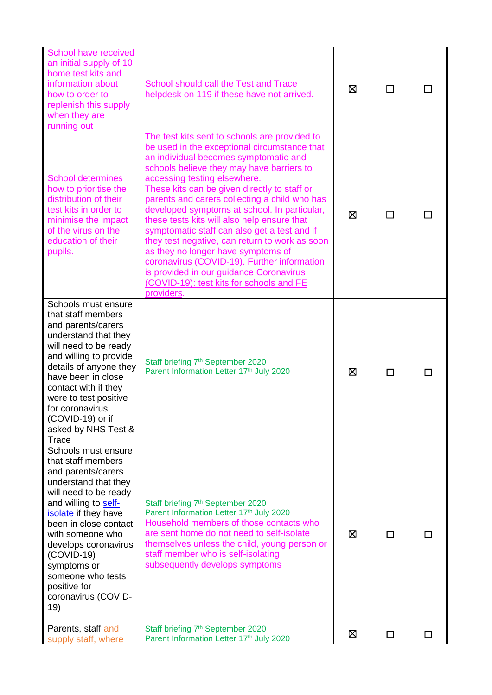| School have received<br>an initial supply of 10<br>home test kits and<br>information about<br>how to order to<br>replenish this supply<br>when they are<br>running out                                                                                                                                                                  | School should call the Test and Trace<br>helpdesk on 119 if these have not arrived.                                                                                                                                                                                                                                                                                                                                                                                                                                                                                                                                                                                                                             | ⊠ | П |   |
|-----------------------------------------------------------------------------------------------------------------------------------------------------------------------------------------------------------------------------------------------------------------------------------------------------------------------------------------|-----------------------------------------------------------------------------------------------------------------------------------------------------------------------------------------------------------------------------------------------------------------------------------------------------------------------------------------------------------------------------------------------------------------------------------------------------------------------------------------------------------------------------------------------------------------------------------------------------------------------------------------------------------------------------------------------------------------|---|---|---|
| <b>School determines</b><br>how to prioritise the<br>distribution of their<br>test kits in order to<br>minimise the impact<br>of the virus on the<br>education of their<br>pupils.                                                                                                                                                      | The test kits sent to schools are provided to<br>be used in the exceptional circumstance that<br>an individual becomes symptomatic and<br>schools believe they may have barriers to<br>accessing testing elsewhere.<br>These kits can be given directly to staff or<br>parents and carers collecting a child who has<br>developed symptoms at school. In particular,<br>these tests kits will also help ensure that<br>symptomatic staff can also get a test and if<br>they test negative, can return to work as soon<br>as they no longer have symptoms of<br>coronavirus (COVID-19). Further information<br>is provided in our guidance Coronavirus<br>(COVID-19): test kits for schools and FE<br>providers. | ⊠ | П |   |
| Schools must ensure<br>that staff members<br>and parents/carers<br>understand that they<br>will need to be ready<br>and willing to provide<br>details of anyone they<br>have been in close<br>contact with if they<br>were to test positive<br>for coronavirus<br>(COVID-19) or if<br>asked by NHS Test &<br>Trace                      | Staff briefing 7 <sup>th</sup> September 2020<br>Parent Information Letter 17th July 2020                                                                                                                                                                                                                                                                                                                                                                                                                                                                                                                                                                                                                       | ⊠ | П |   |
| Schools must ensure<br>that staff members<br>and parents/carers<br>understand that they<br>will need to be ready<br>and willing to self-<br>isolate if they have<br>been in close contact<br>with someone who<br>develops coronavirus<br>$(COVID-19)$<br>symptoms or<br>someone who tests<br>positive for<br>coronavirus (COVID-<br>19) | Staff briefing 7 <sup>th</sup> September 2020<br>Parent Information Letter 17th July 2020<br>Household members of those contacts who<br>are sent home do not need to self-isolate<br>themselves unless the child, young person or<br>staff member who is self-isolating<br>subsequently develops symptoms                                                                                                                                                                                                                                                                                                                                                                                                       | X | П |   |
| Parents, staff and<br>supply staff, where                                                                                                                                                                                                                                                                                               | Staff briefing 7 <sup>th</sup> September 2020<br>Parent Information Letter 17th July 2020                                                                                                                                                                                                                                                                                                                                                                                                                                                                                                                                                                                                                       | ⊠ | □ | □ |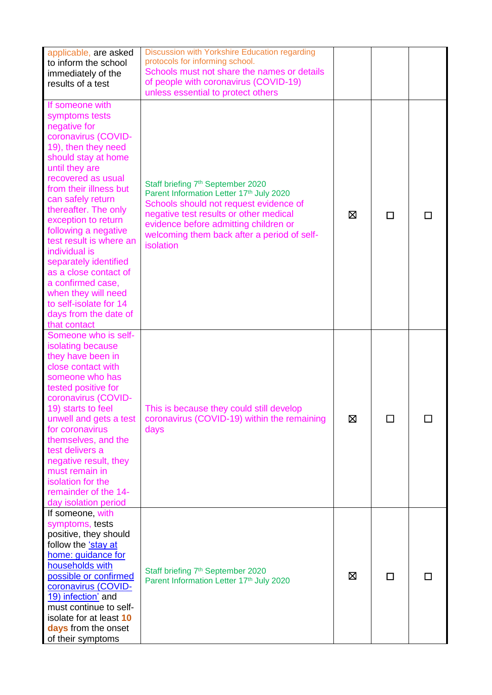| applicable, are asked<br>to inform the school<br>immediately of the<br>results of a test                                                                                                                                                                                                                                                                                                                                                                                                          | Discussion with Yorkshire Education regarding<br>protocols for informing school.<br>Schools must not share the names or details<br>of people with coronavirus (COVID-19)<br>unless essential to protect others                                                                     |   |   |  |
|---------------------------------------------------------------------------------------------------------------------------------------------------------------------------------------------------------------------------------------------------------------------------------------------------------------------------------------------------------------------------------------------------------------------------------------------------------------------------------------------------|------------------------------------------------------------------------------------------------------------------------------------------------------------------------------------------------------------------------------------------------------------------------------------|---|---|--|
| If someone with<br>symptoms tests<br>negative for<br>coronavirus (COVID-<br>19), then they need<br>should stay at home<br>until they are<br>recovered as usual<br>from their illness but<br>can safely return<br>thereafter. The only<br>exception to return<br>following a negative<br>test result is where an<br>individual is<br>separately identified<br>as a close contact of<br>a confirmed case,<br>when they will need<br>to self-isolate for 14<br>days from the date of<br>that contact | Staff briefing 7 <sup>th</sup> September 2020<br>Parent Information Letter 17th July 2020<br>Schools should not request evidence of<br>negative test results or other medical<br>evidence before admitting children or<br>welcoming them back after a period of self-<br>isolation | ⊠ | □ |  |
| Someone who is self-<br>isolating because<br>they have been in<br>close contact with<br>someone who has<br>tested positive for<br>coronavirus (COVID-<br>19) starts to feel<br>unwell and gets a test<br>for coronavirus<br>themselves, and the<br>test delivers a<br>negative result, they<br>must remain in<br>isolation for the<br>remainder of the 14-<br>day isolation period                                                                                                                | This is because they could still develop<br>coronavirus (COVID-19) within the remaining<br>days                                                                                                                                                                                    | 区 | П |  |
| If someone with<br>symptoms, tests<br>positive, they should<br>follow the 'stay at<br>home: guidance for<br>households with<br>possible or confirmed<br>coronavirus (COVID-<br>19) infection' and<br>must continue to self-<br>isolate for at least 10<br>days from the onset<br>of their symptoms                                                                                                                                                                                                | Staff briefing 7 <sup>th</sup> September 2020<br>Parent Information Letter 17th July 2020                                                                                                                                                                                          | ⊠ | □ |  |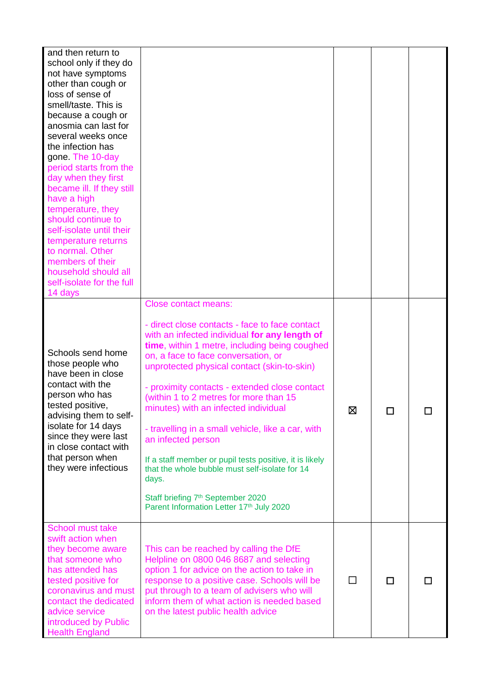| and then return to<br>school only if they do<br>not have symptoms<br>other than cough or<br>loss of sense of<br>smell/taste. This is<br>because a cough or<br>anosmia can last for<br>several weeks once<br>the infection has<br>gone. The 10-day<br>period starts from the<br>day when they first<br>became ill. If they still<br>have a high<br>temperature, they<br>should continue to<br>self-isolate until their<br>temperature returns<br>to normal. Other<br>members of their<br>household should all<br>self-isolate for the full<br>14 days |                                                                                                                                                                                                                                                                                                                                                                                                                                                                                                                                                                                                                                                                                                        |   |   |  |
|------------------------------------------------------------------------------------------------------------------------------------------------------------------------------------------------------------------------------------------------------------------------------------------------------------------------------------------------------------------------------------------------------------------------------------------------------------------------------------------------------------------------------------------------------|--------------------------------------------------------------------------------------------------------------------------------------------------------------------------------------------------------------------------------------------------------------------------------------------------------------------------------------------------------------------------------------------------------------------------------------------------------------------------------------------------------------------------------------------------------------------------------------------------------------------------------------------------------------------------------------------------------|---|---|--|
| Schools send home<br>those people who<br>have been in close<br>contact with the<br>person who has<br>tested positive,<br>advising them to self-<br>isolate for 14 days<br>since they were last<br>in close contact with<br>that person when<br>they were infectious                                                                                                                                                                                                                                                                                  | <b>Close contact means:</b><br>- direct close contacts - face to face contact<br>with an infected individual for any length of<br>time, within 1 metre, including being coughed<br>on, a face to face conversation, or<br>unprotected physical contact (skin-to-skin)<br>- proximity contacts - extended close contact<br>(within 1 to 2 metres for more than 15<br>minutes) with an infected individual<br>- travelling in a small vehicle, like a car, with<br>an infected person<br>If a staff member or pupil tests positive, it is likely<br>that the whole bubble must self-isolate for 14<br>days.<br>Staff briefing 7 <sup>th</sup> September 2020<br>Parent Information Letter 17th July 2020 | ⊠ | П |  |
| School must take<br>swift action when<br>they become aware<br>that someone who<br>has attended has<br>tested positive for<br>coronavirus and must<br>contact the dedicated<br>advice service<br>introduced by Public<br><b>Health England</b>                                                                                                                                                                                                                                                                                                        | This can be reached by calling the DfE<br>Helpline on 0800 046 8687 and selecting<br>option 1 for advice on the action to take in<br>response to a positive case. Schools will be<br>put through to a team of advisers who will<br>inform them of what action is needed based<br>on the latest public health advice                                                                                                                                                                                                                                                                                                                                                                                    |   | □ |  |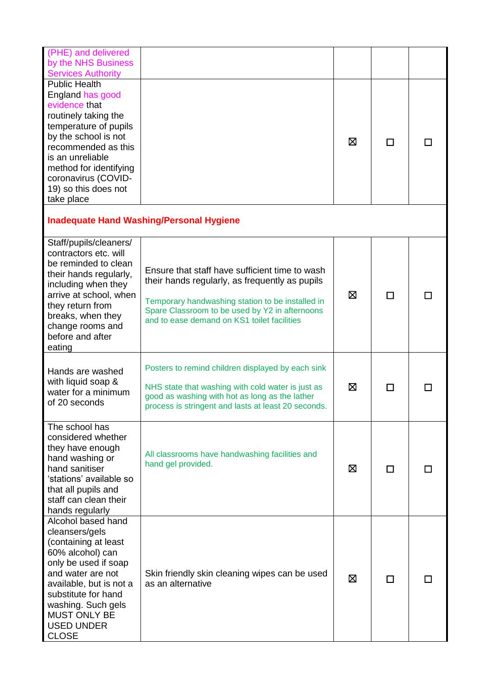| (PHE) and delivered<br>by the NHS Business<br><b>Services Authority</b>                                                                                                                                                                                              |                                                                                                                                                                                                                                                       |   |   |  |
|----------------------------------------------------------------------------------------------------------------------------------------------------------------------------------------------------------------------------------------------------------------------|-------------------------------------------------------------------------------------------------------------------------------------------------------------------------------------------------------------------------------------------------------|---|---|--|
| <b>Public Health</b><br>England has good<br>evidence that<br>routinely taking the<br>temperature of pupils<br>by the school is not<br>recommended as this<br>is an unreliable<br>method for identifying<br>coronavirus (COVID-<br>19) so this does not<br>take place |                                                                                                                                                                                                                                                       | ⊠ | П |  |
|                                                                                                                                                                                                                                                                      | <b>Inadequate Hand Washing/Personal Hygiene</b>                                                                                                                                                                                                       |   |   |  |
| Staff/pupils/cleaners/<br>contractors etc. will<br>be reminded to clean<br>their hands regularly,<br>including when they<br>arrive at school, when<br>they return from<br>breaks, when they<br>change rooms and<br>before and after<br>eating                        | Ensure that staff have sufficient time to wash<br>their hands regularly, as frequently as pupils<br>Temporary handwashing station to be installed in<br>Spare Classroom to be used by Y2 in afternoons<br>and to ease demand on KS1 toilet facilities | ⊠ | П |  |
| Hands are washed<br>with liquid soap &<br>water for a minimum<br>of 20 seconds                                                                                                                                                                                       | Posters to remind children displayed by each sink<br>NHS state that washing with cold water is just as<br>good as washing with hot as long as the lather<br>process is stringent and lasts at least 20 seconds.                                       | ⊠ | П |  |
| The school has<br>considered whether<br>they have enough<br>hand washing or<br>hand sanitiser<br>'stations' available so<br>that all pupils and<br>staff can clean their<br>hands regularly                                                                          | All classrooms have handwashing facilities and<br>hand gel provided.                                                                                                                                                                                  | ⊠ | П |  |
| Alcohol based hand<br>cleansers/gels<br>(containing at least<br>60% alcohol) can<br>only be used if soap<br>and water are not<br>available, but is not a<br>substitute for hand<br>washing. Such gels<br><b>MUST ONLY BE</b><br><b>USED UNDER</b><br><b>CLOSE</b>    | Skin friendly skin cleaning wipes can be used<br>as an alternative                                                                                                                                                                                    | ⊠ | П |  |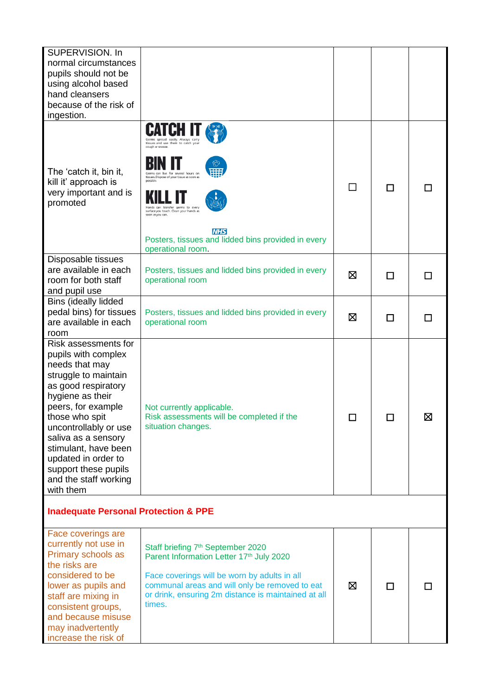| SUPERVISION. In<br>normal circumstances<br>pupils should not be<br>using alcohol based<br>hand cleansers<br>because of the risk of<br>ingestion.                                                                                                                                                                                      |                                                                                                                                                                                                                                                                                             |        |   |   |
|---------------------------------------------------------------------------------------------------------------------------------------------------------------------------------------------------------------------------------------------------------------------------------------------------------------------------------------|---------------------------------------------------------------------------------------------------------------------------------------------------------------------------------------------------------------------------------------------------------------------------------------------|--------|---|---|
| The 'catch it, bin it,<br>kill it' approach is<br>very important and is<br>promoted                                                                                                                                                                                                                                                   | tissues and use them to catch your<br>cough or sneeze<br>can live for several hours on<br>tissues. Dispose of your tissue as soon as<br>surface you touch. Clean your hands as<br>soon as you can.<br><b>NHS</b><br>Posters, tissues and lidded bins provided in every<br>operational room. |        | П |   |
| Disposable tissues<br>are available in each<br>room for both staff<br>and pupil use                                                                                                                                                                                                                                                   | Posters, tissues and lidded bins provided in every<br>operational room                                                                                                                                                                                                                      | ⊠      | П |   |
| Bins (ideally lidded<br>pedal bins) for tissues<br>are available in each<br>room                                                                                                                                                                                                                                                      | Posters, tissues and lidded bins provided in every<br>operational room                                                                                                                                                                                                                      | ⊠      | П | П |
| Risk assessments for<br>pupils with complex<br>needs that may<br>struggle to maintain<br>as good respiratory<br>hygiene as their<br>peers, for example<br>those who spit<br>uncontrollably or use<br>saliva as a sensory<br>stimulant, have been<br>updated in order to<br>support these pupils<br>and the staff working<br>with them | Not currently applicable.<br>Risk assessments will be completed if the<br>situation changes.                                                                                                                                                                                                | $\Box$ | Ш | 区 |
| <b>Inadequate Personal Protection &amp; PPE</b>                                                                                                                                                                                                                                                                                       |                                                                                                                                                                                                                                                                                             |        |   |   |
| Face coverings are<br>currently not use in<br>Primary schools as<br>the risks are<br>considered to be<br>lower as pupils and<br>staff are mixing in<br>consistent groups,<br>and because misuse<br>may inadvertently<br>increase the risk of                                                                                          | Staff briefing 7 <sup>th</sup> September 2020<br>Parent Information Letter 17th July 2020<br>Face coverings will be worn by adults in all<br>communal areas and will only be removed to eat<br>or drink, ensuring 2m distance is maintained at all<br>times.                                | ⊠      | П |   |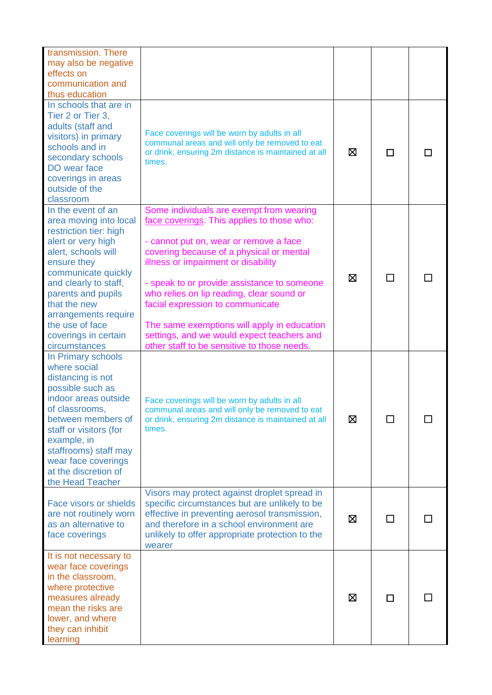| transmission. There<br>may also be negative<br>effects on<br>communication and<br>thus education                                                                                                                                                                                                             |                                                                                                                                                                                                                                                                                                                                                                                                                                                                                                 |   |        |  |
|--------------------------------------------------------------------------------------------------------------------------------------------------------------------------------------------------------------------------------------------------------------------------------------------------------------|-------------------------------------------------------------------------------------------------------------------------------------------------------------------------------------------------------------------------------------------------------------------------------------------------------------------------------------------------------------------------------------------------------------------------------------------------------------------------------------------------|---|--------|--|
| In schools that are in<br>Tier 2 or Tier 3,<br>adults (staff and<br>visitors) in primary<br>schools and in<br>secondary schools<br>DO wear face<br>coverings in areas<br>outside of the<br>classroom                                                                                                         | Face coverings will be worn by adults in all<br>communal areas and will only be removed to eat<br>or drink, ensuring 2m distance is maintained at all<br>times.                                                                                                                                                                                                                                                                                                                                 | ⊠ | П      |  |
| In the event of an<br>area moving into local<br>restriction tier: high<br>alert or very high<br>alert, schools will<br>ensure they<br>communicate quickly<br>and clearly to staff,<br>parents and pupils<br>that the new<br>arrangements require<br>the use of face<br>coverings in certain<br>circumstances | Some individuals are exempt from wearing<br>face coverings. This applies to those who:<br>- cannot put on, wear or remove a face<br>covering because of a physical or mental<br>illness or impairment or disability<br>- speak to or provide assistance to someone<br>who relies on lip reading, clear sound or<br>facial expression to communicate<br>The same exemptions will apply in education<br>settings, and we would expect teachers and<br>other staff to be sensitive to those needs. | ⊠ | ΙI     |  |
| In Primary schools<br>where social<br>distancing is not<br>possible such as<br>indoor areas outside<br>of classrooms,<br>between members of<br>staff or visitors (for<br>example, in<br>staffrooms) staff may<br>wear face coverings<br>at the discretion of<br>the Head Teacher                             | Face coverings will be worn by adults in all<br>communal areas and will only be removed to eat<br>or drink, ensuring 2m distance is maintained at all<br>times.                                                                                                                                                                                                                                                                                                                                 | ⊠ |        |  |
| Face visors or shields<br>are not routinely worn<br>as an alternative to<br>face coverings                                                                                                                                                                                                                   | Visors may protect against droplet spread in<br>specific circumstances but are unlikely to be<br>effective in preventing aerosol transmission,<br>and therefore in a school environment are<br>unlikely to offer appropriate protection to the<br>wearer                                                                                                                                                                                                                                        | ⊠ | $\Box$ |  |
| It is not necessary to<br>wear face coverings<br>in the classroom,<br>where protective<br>measures already<br>mean the risks are<br>lower, and where<br>they can inhibit<br>learning                                                                                                                         |                                                                                                                                                                                                                                                                                                                                                                                                                                                                                                 | ⊠ | П      |  |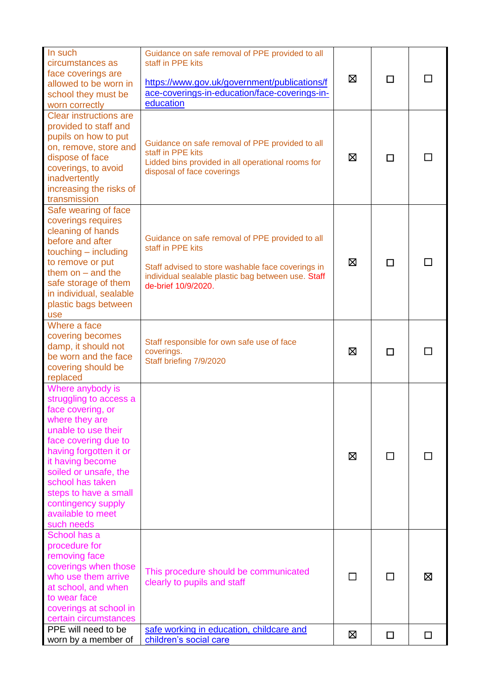| In such<br>circumstances as<br>face coverings are                              | Guidance on safe removal of PPE provided to all<br>staff in PPE kits                                    |   |              |        |
|--------------------------------------------------------------------------------|---------------------------------------------------------------------------------------------------------|---|--------------|--------|
| allowed to be worn in                                                          | https://www.gov.uk/government/publications/f                                                            | ⊠ | □            |        |
| school they must be                                                            | ace-coverings-in-education/face-coverings-in-                                                           |   |              |        |
| worn correctly                                                                 | education                                                                                               |   |              |        |
| <b>Clear instructions are</b><br>provided to staff and<br>pupils on how to put |                                                                                                         |   |              |        |
| on, remove, store and                                                          | Guidance on safe removal of PPE provided to all<br>staff in PPE kits                                    |   |              |        |
| dispose of face<br>coverings, to avoid                                         | Lidded bins provided in all operational rooms for                                                       | ⊠ | П            |        |
| inadvertently                                                                  | disposal of face coverings                                                                              |   |              |        |
| increasing the risks of                                                        |                                                                                                         |   |              |        |
| transmission                                                                   |                                                                                                         |   |              |        |
| Safe wearing of face                                                           |                                                                                                         |   |              |        |
| coverings requires                                                             |                                                                                                         |   |              |        |
| cleaning of hands<br>before and after                                          | Guidance on safe removal of PPE provided to all                                                         |   |              |        |
| touching - including                                                           | staff in PPE kits                                                                                       |   |              |        |
| to remove or put                                                               |                                                                                                         | ⊠ | □            |        |
| them on $-$ and the                                                            | Staff advised to store washable face coverings in<br>individual sealable plastic bag between use. Staff |   |              |        |
| safe storage of them                                                           | de-brief 10/9/2020.                                                                                     |   |              |        |
| in individual, sealable                                                        |                                                                                                         |   |              |        |
| plastic bags between                                                           |                                                                                                         |   |              |        |
| use                                                                            |                                                                                                         |   |              |        |
| Where a face                                                                   |                                                                                                         |   |              |        |
| covering becomes<br>damp, it should not                                        | Staff responsible for own safe use of face                                                              |   |              |        |
| be worn and the face                                                           | coverings.                                                                                              | ⊠ | П            |        |
| covering should be                                                             | Staff briefing 7/9/2020                                                                                 |   |              |        |
| replaced                                                                       |                                                                                                         |   |              |        |
| Where anybody is                                                               |                                                                                                         |   |              |        |
| struggling to access a                                                         |                                                                                                         |   |              |        |
| face covering, or                                                              |                                                                                                         |   |              |        |
| where they are<br>unable to use their                                          |                                                                                                         |   |              |        |
| face covering due to                                                           |                                                                                                         |   |              |        |
| having forgotten it or                                                         |                                                                                                         |   |              |        |
| it having become                                                               |                                                                                                         | ⊠ | $\mathbf{L}$ |        |
| soiled or unsafe, the                                                          |                                                                                                         |   |              |        |
| school has taken                                                               |                                                                                                         |   |              |        |
| steps to have a small                                                          |                                                                                                         |   |              |        |
| contingency supply<br>available to meet                                        |                                                                                                         |   |              |        |
| such needs                                                                     |                                                                                                         |   |              |        |
| School has a                                                                   |                                                                                                         |   |              |        |
| procedure for                                                                  |                                                                                                         |   |              |        |
| removing face                                                                  |                                                                                                         |   |              |        |
| coverings when those                                                           | This procedure should be communicated                                                                   |   |              |        |
| who use them arrive                                                            | clearly to pupils and staff                                                                             | П | П            | ⊠      |
| at school, and when                                                            |                                                                                                         |   |              |        |
| to wear face                                                                   |                                                                                                         |   |              |        |
| coverings at school in<br>certain circumstances                                |                                                                                                         |   |              |        |
| PPE will need to be                                                            | safe working in education, childcare and                                                                |   |              |        |
| worn by a member of                                                            | children's social care                                                                                  | ⊠ | □            | $\Box$ |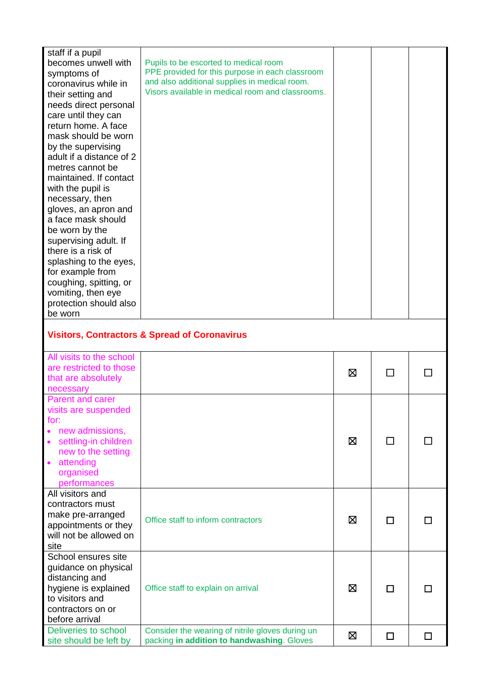| staff if a pupil<br>becomes unwell with<br>symptoms of<br>coronavirus while in<br>their setting and<br>needs direct personal<br>care until they can<br>return home. A face<br>mask should be worn<br>by the supervising<br>adult if a distance of 2<br>metres cannot be<br>maintained. If contact<br>with the pupil is<br>necessary, then<br>gloves, an apron and<br>a face mask should<br>be worn by the<br>supervising adult. If<br>there is a risk of<br>splashing to the eyes,<br>for example from<br>coughing, spitting, or<br>vomiting, then eye<br>protection should also<br>be worn | Pupils to be escorted to medical room<br>PPE provided for this purpose in each classroom<br>and also additional supplies in medical room.<br>Visors available in medical room and classrooms. |   |               |           |
|---------------------------------------------------------------------------------------------------------------------------------------------------------------------------------------------------------------------------------------------------------------------------------------------------------------------------------------------------------------------------------------------------------------------------------------------------------------------------------------------------------------------------------------------------------------------------------------------|-----------------------------------------------------------------------------------------------------------------------------------------------------------------------------------------------|---|---------------|-----------|
|                                                                                                                                                                                                                                                                                                                                                                                                                                                                                                                                                                                             | <b>Visitors, Contractors &amp; Spread of Coronavirus</b>                                                                                                                                      |   |               |           |
| All visits to the school<br>are restricted to those<br>that are absolutely<br>necessary                                                                                                                                                                                                                                                                                                                                                                                                                                                                                                     |                                                                                                                                                                                               | ⊠ |               |           |
| <b>Parent and carer</b><br>visits are suspended<br>for:<br>new admissions,<br>$\bullet$<br>settling-in children<br>$\bullet$<br>new to the setting<br>attending<br>$\bullet$<br>organised<br>performances                                                                                                                                                                                                                                                                                                                                                                                   |                                                                                                                                                                                               | ⊠ | $\mathcal{L}$ |           |
| All visitors and<br>contractors must<br>make pre-arranged<br>appointments or they<br>will not be allowed on<br>site                                                                                                                                                                                                                                                                                                                                                                                                                                                                         | Office staff to inform contractors                                                                                                                                                            | ⊠ | □             |           |
| School ensures site<br>guidance on physical<br>distancing and<br>hygiene is explained<br>to visitors and<br>contractors on or<br>before arrival                                                                                                                                                                                                                                                                                                                                                                                                                                             | Office staff to explain on arrival                                                                                                                                                            | ⊠ | □             |           |
| Deliveries to school<br>site should be left by                                                                                                                                                                                                                                                                                                                                                                                                                                                                                                                                              | Consider the wearing of nitrile gloves during un<br>packing in addition to handwashing. Gloves                                                                                                | ⊠ | □             | <b>LI</b> |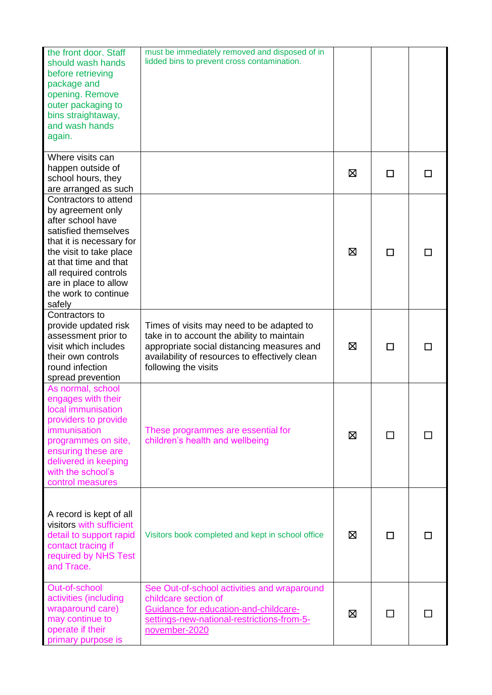| the front door. Staff<br>should wash hands<br>before retrieving<br>package and<br>opening. Remove<br>outer packaging to<br>bins straightaway,<br>and wash hands<br>again.                                                                                   | must be immediately removed and disposed of in<br>lidded bins to prevent cross contamination.                                                                                                                   |   |               |  |
|-------------------------------------------------------------------------------------------------------------------------------------------------------------------------------------------------------------------------------------------------------------|-----------------------------------------------------------------------------------------------------------------------------------------------------------------------------------------------------------------|---|---------------|--|
| Where visits can<br>happen outside of<br>school hours, they<br>are arranged as such                                                                                                                                                                         |                                                                                                                                                                                                                 | ⊠ | □             |  |
| Contractors to attend<br>by agreement only<br>after school have<br>satisfied themselves<br>that it is necessary for<br>the visit to take place<br>at that time and that<br>all required controls<br>are in place to allow<br>the work to continue<br>safely |                                                                                                                                                                                                                 | ⊠ | П             |  |
| Contractors to<br>provide updated risk<br>assessment prior to<br>visit which includes<br>their own controls<br>round infection<br>spread prevention                                                                                                         | Times of visits may need to be adapted to<br>take in to account the ability to maintain<br>appropriate social distancing measures and<br>availability of resources to effectively clean<br>following the visits | ⊠ | П             |  |
| As normal, school<br>engages with their<br>local immunisation<br>providers to provide<br>immunisation<br>programmes on site,<br>ensuring these are<br>delivered in keeping<br>with the school's<br>control measures                                         | These programmes are essential for<br>children's health and wellbeing                                                                                                                                           | ⊠ | □             |  |
| A record is kept of all<br>visitors with sufficient<br>detail to support rapid<br>contact tracing if<br>required by NHS Test<br>and Trace.                                                                                                                  | Visitors book completed and kept in school office                                                                                                                                                               | ⊠ | П             |  |
| Out-of-school<br>activities (including<br>wraparound care)<br>may continue to<br>operate if their<br>primary purpose is                                                                                                                                     | See Out-of-school activities and wraparound<br>childcare section of<br>Guidance for education-and-childcare-<br>settings-new-national-restrictions-from-5-<br>november-2020                                     | ⊠ | <b>Talent</b> |  |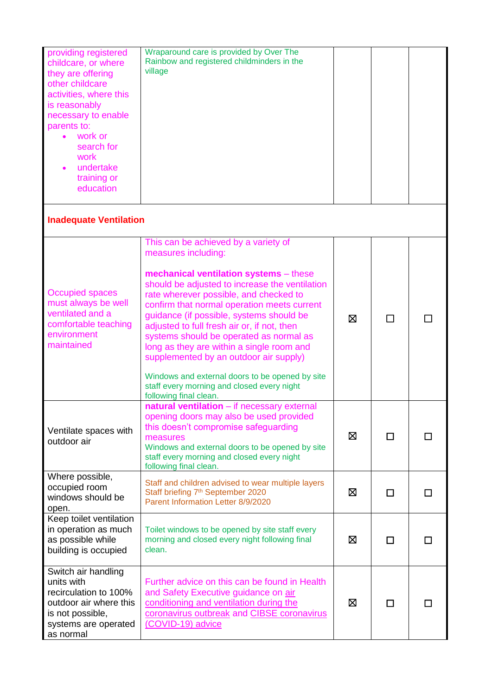| providing registered<br>childcare, or where<br>they are offering<br>other childcare<br>activities, where this<br>is reasonably<br>necessary to enable | Wraparound care is provided by Over The<br>Rainbow and registered childminders in the<br>village                                                                                                                                                                                                                                                                                                                                                                                                                                                                                                         |   |   |   |
|-------------------------------------------------------------------------------------------------------------------------------------------------------|----------------------------------------------------------------------------------------------------------------------------------------------------------------------------------------------------------------------------------------------------------------------------------------------------------------------------------------------------------------------------------------------------------------------------------------------------------------------------------------------------------------------------------------------------------------------------------------------------------|---|---|---|
| parents to:<br>work or<br>search for<br>work<br>undertake<br>training or<br>education                                                                 |                                                                                                                                                                                                                                                                                                                                                                                                                                                                                                                                                                                                          |   |   |   |
| <b>Inadequate Ventilation</b>                                                                                                                         |                                                                                                                                                                                                                                                                                                                                                                                                                                                                                                                                                                                                          |   |   |   |
| <b>Occupied spaces</b><br>must always be well<br>ventilated and a<br>comfortable teaching<br>environment<br>maintained                                | This can be achieved by a variety of<br>measures including:<br>mechanical ventilation systems - these<br>should be adjusted to increase the ventilation<br>rate wherever possible, and checked to<br>confirm that normal operation meets current<br>guidance (if possible, systems should be<br>adjusted to full fresh air or, if not, then<br>systems should be operated as normal as<br>long as they are within a single room and<br>supplemented by an outdoor air supply)<br>Windows and external doors to be opened by site<br>staff every morning and closed every night<br>following final clean. | ⊠ |   |   |
| Ventilate spaces with<br>outdoor air                                                                                                                  | natural ventilation - if necessary external<br>opening doors may also be used provided<br>this doesn't compromise safeguarding<br>measures<br>Windows and external doors to be opened by site<br>staff every morning and closed every night<br>following final clean.                                                                                                                                                                                                                                                                                                                                    | ⊠ | □ | П |
| Where possible,<br>occupied room<br>windows should be<br>open.                                                                                        | Staff and children advised to wear multiple layers<br>Staff briefing 7 <sup>th</sup> September 2020<br>Parent Information Letter 8/9/2020                                                                                                                                                                                                                                                                                                                                                                                                                                                                | ⊠ | П | H |
| Keep toilet ventilation<br>in operation as much<br>as possible while<br>building is occupied                                                          | Toilet windows to be opened by site staff every<br>morning and closed every night following final<br>clean.                                                                                                                                                                                                                                                                                                                                                                                                                                                                                              | ⊠ | □ | П |
| Switch air handling<br>units with<br>recirculation to 100%<br>outdoor air where this<br>is not possible,<br>systems are operated<br>as normal         | Further advice on this can be found in Health<br>and Safety Executive guidance on air<br>conditioning and ventilation during the<br>coronavirus outbreak and CIBSE coronavirus<br>(COVID-19) advice                                                                                                                                                                                                                                                                                                                                                                                                      | ⊠ | □ | П |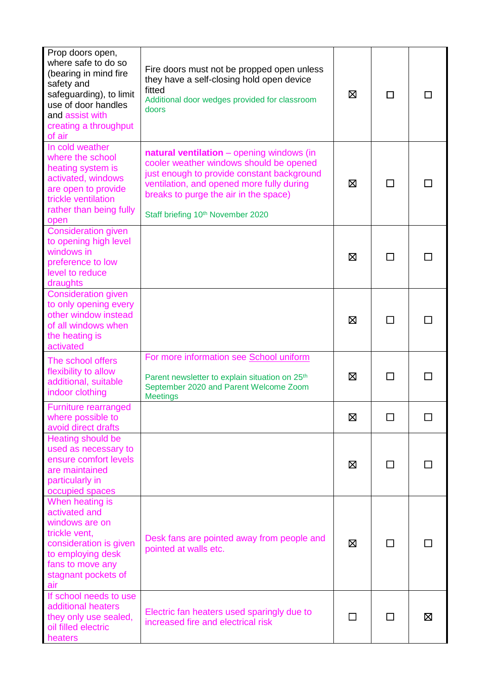| Prop doors open,<br>where safe to do so<br>(bearing in mind fire<br>safety and<br>safeguarding), to limit<br>use of door handles<br>and assist with<br>creating a throughput<br>of air | Fire doors must not be propped open unless<br>they have a self-closing hold open device<br>fitted<br>Additional door wedges provided for classroom<br>doors                                                                                                               | ⊠      | п             |   |
|----------------------------------------------------------------------------------------------------------------------------------------------------------------------------------------|---------------------------------------------------------------------------------------------------------------------------------------------------------------------------------------------------------------------------------------------------------------------------|--------|---------------|---|
| In cold weather<br>where the school<br>heating system is<br>activated, windows<br>are open to provide<br>trickle ventilation<br>rather than being fully<br>open                        | natural ventilation - opening windows (in<br>cooler weather windows should be opened<br>just enough to provide constant background<br>ventilation, and opened more fully during<br>breaks to purge the air in the space)<br>Staff briefing 10 <sup>th</sup> November 2020 | ⊠      |               |   |
| <b>Consideration given</b><br>to opening high level<br>windows in<br>preference to low<br>level to reduce<br>draughts                                                                  |                                                                                                                                                                                                                                                                           | ⊠      |               |   |
| <b>Consideration given</b><br>to only opening every<br>other window instead<br>of all windows when<br>the heating is<br>activated                                                      |                                                                                                                                                                                                                                                                           | ⊠      | П             |   |
| The school offers<br>flexibility to allow<br>additional, suitable<br>indoor clothing                                                                                                   | For more information see School uniform<br>Parent newsletter to explain situation on 25 <sup>th</sup><br>September 2020 and Parent Welcome Zoom<br><b>Meetings</b>                                                                                                        | ⊠      | <b>Talent</b> |   |
| <b>Furniture rearranged</b><br>where possible to<br>avoid direct drafts                                                                                                                |                                                                                                                                                                                                                                                                           | Ø      | П             |   |
| Heating should be<br>used as necessary to<br>ensure comfort levels<br>are maintained<br>particularly in<br>occupied spaces                                                             |                                                                                                                                                                                                                                                                           | ⊠      | □             |   |
| When heating is<br>activated and<br>windows are on<br>trickle vent,<br>consideration is given<br>to employing desk<br>fans to move any<br>stagnant pockets of<br>air                   | Desk fans are pointed away from people and<br>pointed at walls etc.                                                                                                                                                                                                       | ⊠      | П             |   |
| If school needs to use<br>additional heaters<br>they only use sealed,<br>oil filled electric<br>heaters                                                                                | Electric fan heaters used sparingly due to<br>increased fire and electrical risk                                                                                                                                                                                          | $\Box$ | П             | ⊠ |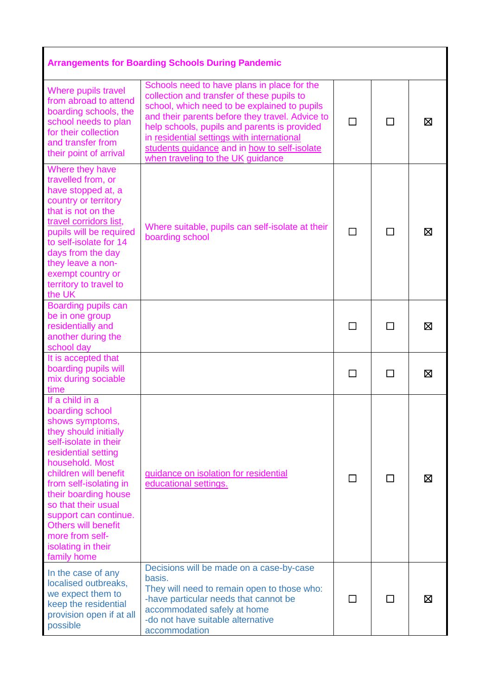| <b>Arrangements for Boarding Schools During Pandemic</b>                                                                                                                                                                                                                                                                                                           |                                                                                                                                                                                                                                                                                                                                                                                 |         |                          |   |
|--------------------------------------------------------------------------------------------------------------------------------------------------------------------------------------------------------------------------------------------------------------------------------------------------------------------------------------------------------------------|---------------------------------------------------------------------------------------------------------------------------------------------------------------------------------------------------------------------------------------------------------------------------------------------------------------------------------------------------------------------------------|---------|--------------------------|---|
| Where pupils travel<br>from abroad to attend<br>boarding schools, the<br>school needs to plan<br>for their collection<br>and transfer from<br>their point of arrival                                                                                                                                                                                               | Schools need to have plans in place for the<br>collection and transfer of these pupils to<br>school, which need to be explained to pupils<br>and their parents before they travel. Advice to<br>help schools, pupils and parents is provided<br>in residential settings with international<br>students guidance and in how to self-isolate<br>when traveling to the UK guidance | П       | $\overline{\phantom{a}}$ | ⊠ |
| Where they have<br>travelled from, or<br>have stopped at, a<br>country or territory<br>that is not on the<br>travel corridors list,<br>pupils will be required<br>to self-isolate for 14<br>days from the day<br>they leave a non-<br>exempt country or<br>territory to travel to<br>the UK                                                                        | Where suitable, pupils can self-isolate at their<br>boarding school                                                                                                                                                                                                                                                                                                             | П       |                          | ⊠ |
| Boarding pupils can<br>be in one group<br>residentially and<br>another during the<br>school day                                                                                                                                                                                                                                                                    |                                                                                                                                                                                                                                                                                                                                                                                 | $\perp$ | $\mathsf{L}$             | ⊠ |
| It is accepted that<br>boarding pupils will<br>mix during sociable<br>time                                                                                                                                                                                                                                                                                         |                                                                                                                                                                                                                                                                                                                                                                                 | $\Box$  | П                        | Χ |
| If a child in a<br>boarding school<br>shows symptoms,<br>they should initially<br>self-isolate in their<br>residential setting<br>household. Most<br>children will benefit<br>from self-isolating in<br>their boarding house<br>so that their usual<br>support can continue.<br><b>Others will benefit</b><br>more from self-<br>isolating in their<br>family home | guidance on isolation for residential<br>educational settings.                                                                                                                                                                                                                                                                                                                  |         |                          | ⊠ |
| In the case of any<br>localised outbreaks,<br>we expect them to<br>keep the residential<br>provision open if at all<br>possible                                                                                                                                                                                                                                    | Decisions will be made on a case-by-case<br>basis.<br>They will need to remain open to those who:<br>-have particular needs that cannot be<br>accommodated safely at home<br>-do not have suitable alternative<br>accommodation                                                                                                                                                 | $\perp$ | $\mathcal{L}$            | ⊠ |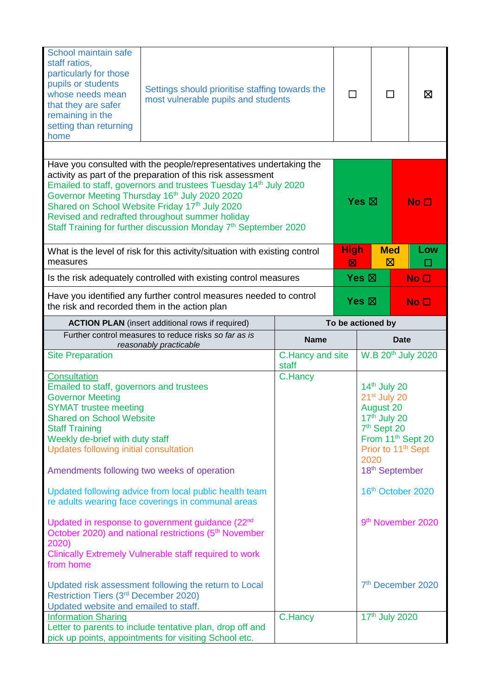| School maintain safe<br>staff ratios,<br>particularly for those<br>pupils or students<br>whose needs mean<br>that they are safer<br>remaining in the<br>setting than returning<br>home                                                                                                                                                                               | Settings should prioritise staffing towards the<br>most vulnerable pupils and students                                                                                                                                                                                                                                                                                                                                                                |                           |                            | ⊠               |                                                                                                                               |                                                                                                                                                                    |
|----------------------------------------------------------------------------------------------------------------------------------------------------------------------------------------------------------------------------------------------------------------------------------------------------------------------------------------------------------------------|-------------------------------------------------------------------------------------------------------------------------------------------------------------------------------------------------------------------------------------------------------------------------------------------------------------------------------------------------------------------------------------------------------------------------------------------------------|---------------------------|----------------------------|-----------------|-------------------------------------------------------------------------------------------------------------------------------|--------------------------------------------------------------------------------------------------------------------------------------------------------------------|
|                                                                                                                                                                                                                                                                                                                                                                      |                                                                                                                                                                                                                                                                                                                                                                                                                                                       |                           |                            |                 |                                                                                                                               |                                                                                                                                                                    |
|                                                                                                                                                                                                                                                                                                                                                                      | Have you consulted with the people/representatives undertaking the<br>activity as part of the preparation of this risk assessment<br>Emailed to staff, governors and trustees Tuesday 14 <sup>th</sup> July 2020<br>Governor Meeting Thursday 16th July 2020 2020<br>Shared on School Website Friday 17th July 2020<br>Revised and redrafted throughout summer holiday<br>Staff Training for further discussion Monday 7 <sup>th</sup> September 2020 |                           |                            | Yes $\boxtimes$ |                                                                                                                               | No <sub>1</sub>                                                                                                                                                    |
| measures                                                                                                                                                                                                                                                                                                                                                             | What is the level of risk for this activity/situation with existing control                                                                                                                                                                                                                                                                                                                                                                           |                           | <b>High</b><br>$\boxtimes$ |                 | <b>Med</b><br>$\boxtimes$                                                                                                     | Low                                                                                                                                                                |
|                                                                                                                                                                                                                                                                                                                                                                      | Is the risk adequately controlled with existing control measures                                                                                                                                                                                                                                                                                                                                                                                      |                           |                            | Yes $\boxtimes$ |                                                                                                                               | No <sub>1</sub>                                                                                                                                                    |
| the risk and recorded them in the action plan                                                                                                                                                                                                                                                                                                                        | Have you identified any further control measures needed to control                                                                                                                                                                                                                                                                                                                                                                                    |                           |                            | Yes $\boxtimes$ |                                                                                                                               | No <sub>1</sub>                                                                                                                                                    |
|                                                                                                                                                                                                                                                                                                                                                                      | <b>ACTION PLAN</b> (insert additional rows if required)                                                                                                                                                                                                                                                                                                                                                                                               |                           | To be actioned by          |                 |                                                                                                                               |                                                                                                                                                                    |
| Further control measures to reduce risks so far as is<br>reasonably practicable                                                                                                                                                                                                                                                                                      |                                                                                                                                                                                                                                                                                                                                                                                                                                                       | <b>Name</b>               | <b>Date</b>                |                 |                                                                                                                               |                                                                                                                                                                    |
| <b>Site Preparation</b>                                                                                                                                                                                                                                                                                                                                              |                                                                                                                                                                                                                                                                                                                                                                                                                                                       | C.Hancy and site<br>staff |                            |                 |                                                                                                                               | W.B 20 <sup>th</sup> July 2020                                                                                                                                     |
| Consultation<br>Emailed to staff, governors and trustees<br><b>Governor Meeting</b><br><b>SYMAT trustee meeting</b><br><b>Shared on School Website</b><br><b>Staff Training</b><br>Weekly de-brief with duty staff<br>Updates following initial consultation<br>2020)<br>from home<br>Restriction Tiers (3rd December 2020)<br>Updated website and emailed to staff. | Amendments following two weeks of operation<br>Updated following advice from local public health team<br>re adults wearing face coverings in communal areas<br>Updated in response to government guidance (22 <sup>nd</sup><br>October 2020) and national restrictions (5 <sup>th</sup> November<br>Clinically Extremely Vulnerable staff required to work<br>Updated risk assessment following the return to Local                                   | C.Hancy                   |                            | 2020            | $14th$ July 20<br>21 <sup>st</sup> July 20<br><b>August 20</b><br>$17th$ July 20<br>7 <sup>th</sup> Sept 20<br>18th September | From 11 <sup>th</sup> Sept 20<br>Prior to 11 <sup>th</sup> Sept<br>16 <sup>th</sup> October 2020<br>9 <sup>th</sup> November 2020<br>7 <sup>th</sup> December 2020 |
| <b>Information Sharing</b>                                                                                                                                                                                                                                                                                                                                           |                                                                                                                                                                                                                                                                                                                                                                                                                                                       | C.Hancy                   |                            |                 | 17th July 2020                                                                                                                |                                                                                                                                                                    |